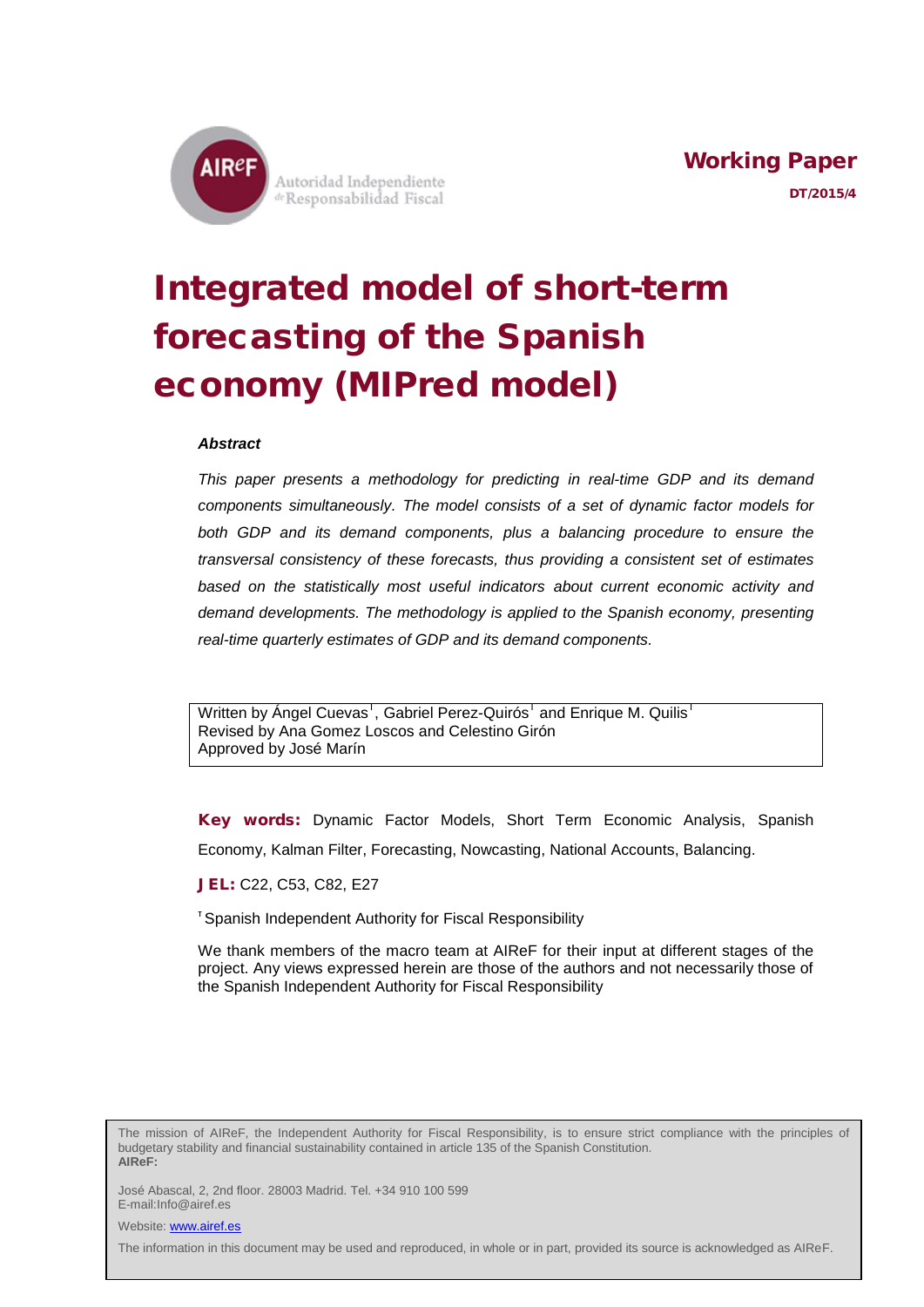

# Integrated model of short-term forecasting of the Spanish economy (MIPred model)

#### *Abstract*

*This paper presents a methodology for predicting in real-time GDP and its demand components simultaneously. The model consists of a set of dynamic factor models for both GDP and its demand components, plus a balancing procedure to ensure the transversal consistency of these forecasts, thus providing a consistent set of estimates based on the statistically most useful indicators about current economic activity and demand developments. The methodology is applied to the Spanish economy, presenting real-time quarterly estimates of GDP and its demand components.*

Written by Ángel Cuevas<sup>1</sup>, Gabriel Perez-Quirós<sup>1</sup> and Enrique M. Quilis<sup>1</sup> Revised by Ana Gomez Loscos and Celestino Girón Approved by José Marín

Key words: Dynamic Factor Models, Short Term Economic Analysis, Spanish Economy, Kalman Filter, Forecasting, Nowcasting, National Accounts, Balancing.

JEL: C22, C53, C82, E27

<sup>T</sup> Spanish Independent Authority for Fiscal Responsibility

We thank members of the macro team at AIReF for their input at different stages of the project. Any views expressed herein are those of the authors and not necessarily those of the Spanish Independent Authority for Fiscal Responsibility

The mission of AIReF, the Independent Authority for Fiscal Responsibility, is to ensure strict compliance with the principles of budgetary stability and financial sustainability contained in article 135 of the Spanish Constitution. **AIReF:**

José Abascal, 2, 2nd floor. 28003 Madrid. Tel. +34 910 100 599 E-mail:Info@airef.es

Website: **www.airef.es** 

The information in this document may be used and reproduced, in whole or in part, provided its source is acknowledged as AIReF.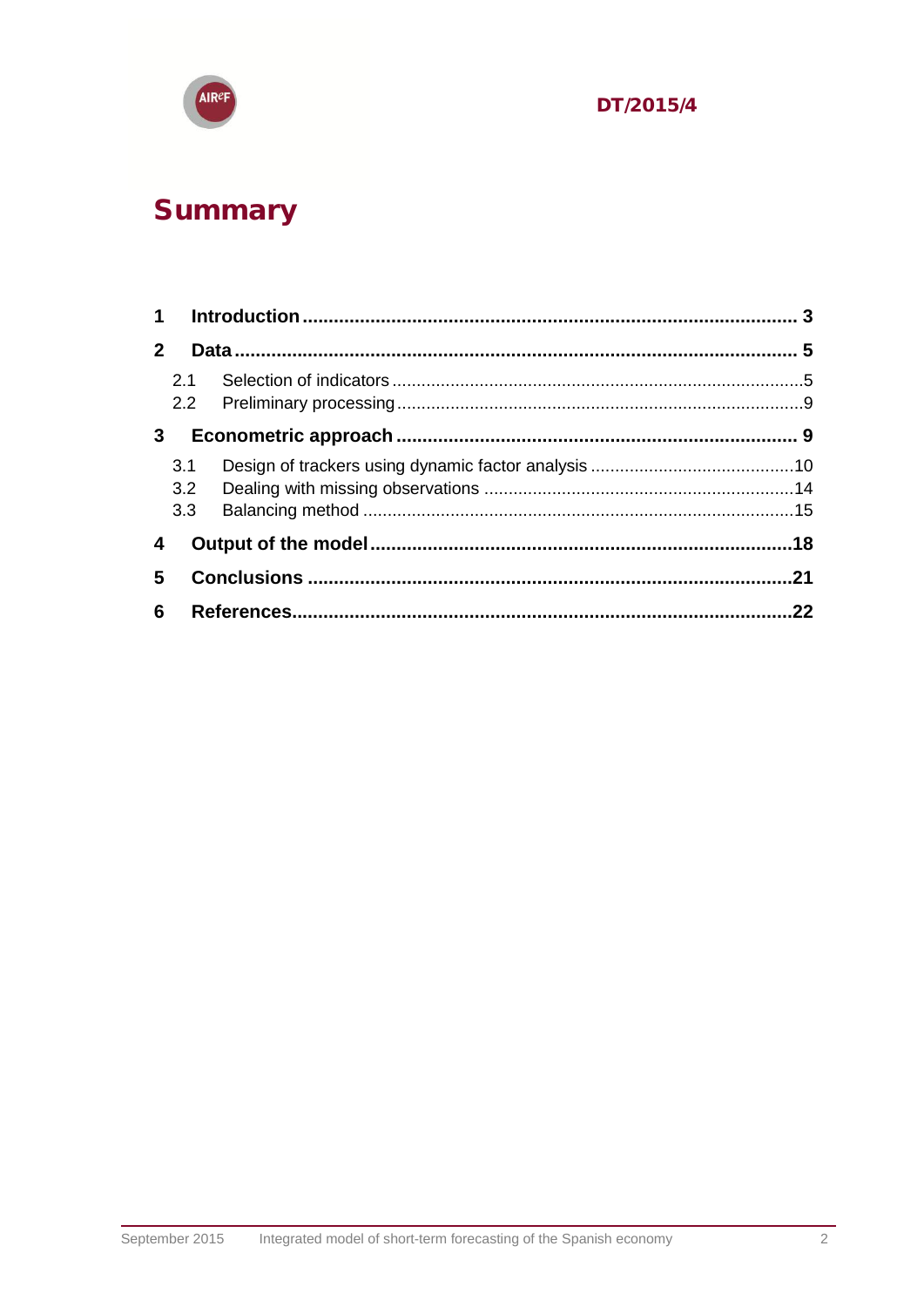

## Summary

| $\mathbf{2}$   |                   |  |     |  |
|----------------|-------------------|--|-----|--|
|                | 2.1               |  |     |  |
| 3 <sup>1</sup> |                   |  |     |  |
|                | 3.1<br>3.2<br>3.3 |  |     |  |
| 4              |                   |  |     |  |
| 5              |                   |  |     |  |
| 6              |                   |  | .22 |  |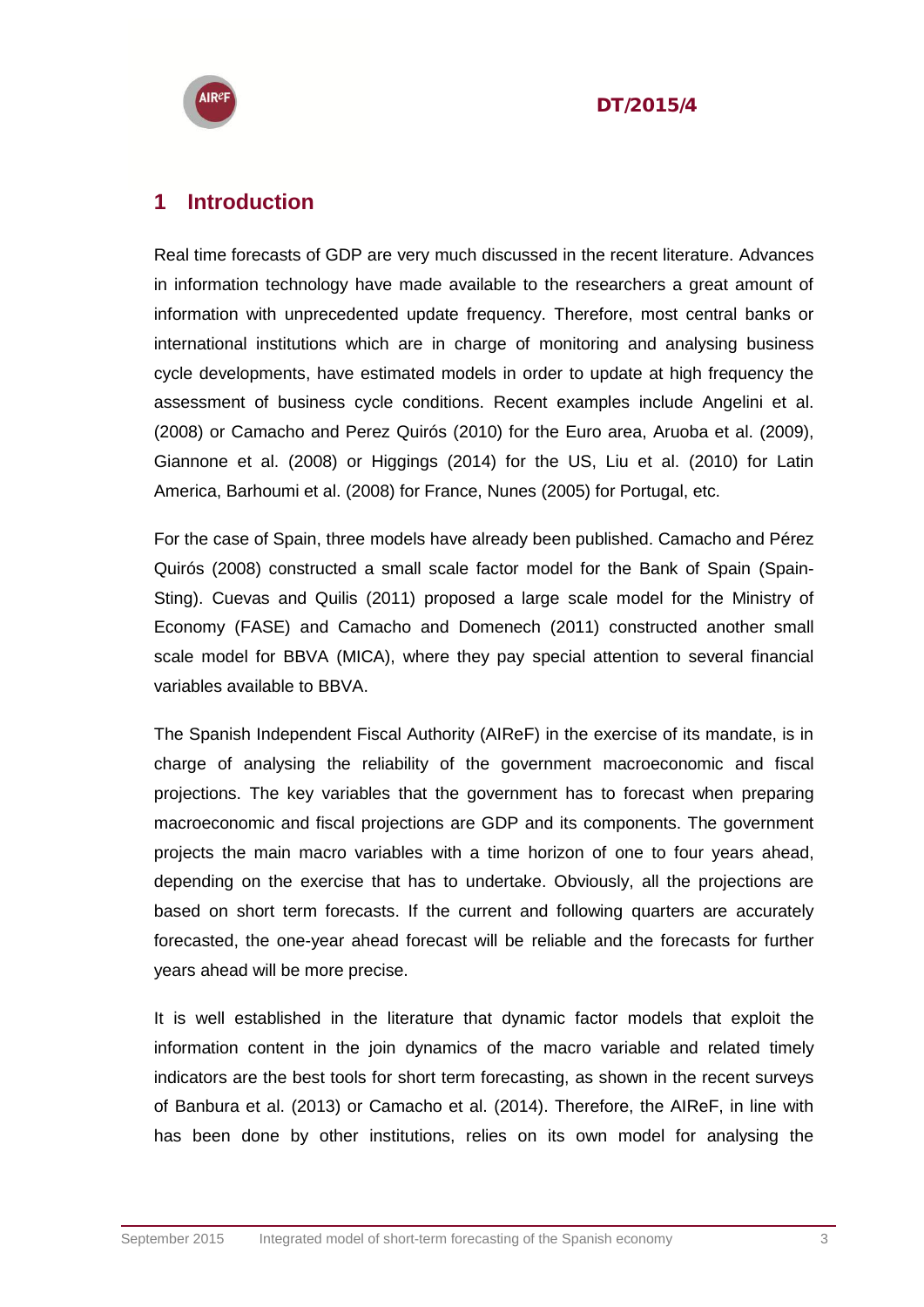

#### <span id="page-2-0"></span>**1 Introduction**

Real time forecasts of GDP are very much discussed in the recent literature. Advances in information technology have made available to the researchers a great amount of information with unprecedented update frequency. Therefore, most central banks or international institutions which are in charge of monitoring and analysing business cycle developments, have estimated models in order to update at high frequency the assessment of business cycle conditions. Recent examples include Angelini et al. (2008) or Camacho and Perez Quirós (2010) for the Euro area, Aruoba et al. (2009), Giannone et al. (2008) or Higgings (2014) for the US, Liu et al. (2010) for Latin America, Barhoumi et al. (2008) for France, Nunes (2005) for Portugal, etc.

For the case of Spain, three models have already been published. Camacho and Pérez Quirós (2008) constructed a small scale factor model for the Bank of Spain (Spain-Sting). Cuevas and Quilis (2011) proposed a large scale model for the Ministry of Economy (FASE) and Camacho and Domenech (2011) constructed another small scale model for BBVA (MICA), where they pay special attention to several financial variables available to BBVA.

The Spanish Independent Fiscal Authority (AIReF) in the exercise of its mandate, is in charge of analysing the reliability of the government macroeconomic and fiscal projections. The key variables that the government has to forecast when preparing macroeconomic and fiscal projections are GDP and its components. The government projects the main macro variables with a time horizon of one to four years ahead, depending on the exercise that has to undertake. Obviously, all the projections are based on short term forecasts. If the current and following quarters are accurately forecasted, the one-year ahead forecast will be reliable and the forecasts for further years ahead will be more precise.

It is well established in the literature that dynamic factor models that exploit the information content in the join dynamics of the macro variable and related timely indicators are the best tools for short term forecasting, as shown in the recent surveys of Banbura et al. (2013) or Camacho et al. (2014). Therefore, the AIReF, in line with has been done by other institutions, relies on its own model for analysing the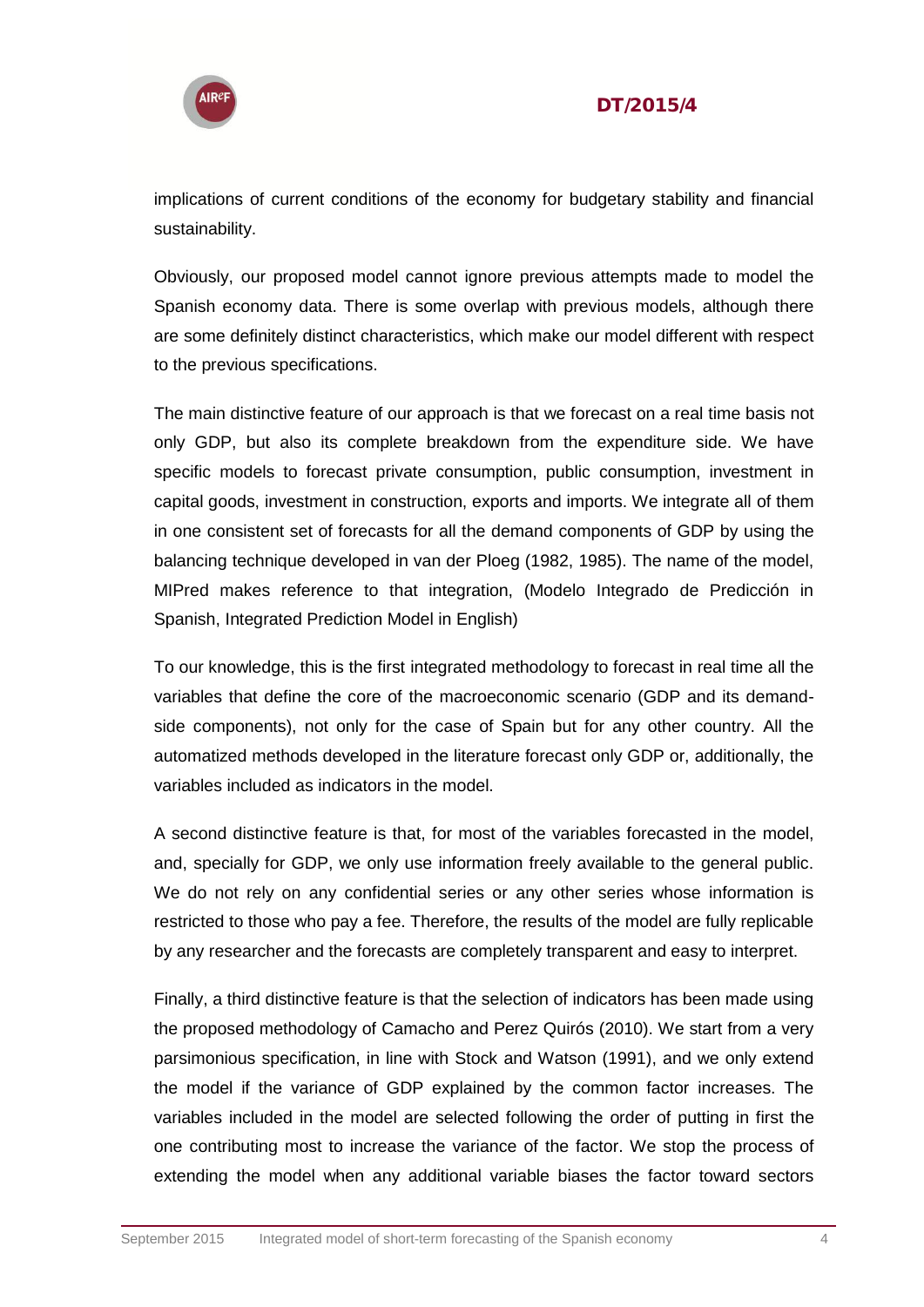

implications of current conditions of the economy for budgetary stability and financial sustainability.

Obviously, our proposed model cannot ignore previous attempts made to model the Spanish economy data. There is some overlap with previous models, although there are some definitely distinct characteristics, which make our model different with respect to the previous specifications.

The main distinctive feature of our approach is that we forecast on a real time basis not only GDP, but also its complete breakdown from the expenditure side. We have specific models to forecast private consumption, public consumption, investment in capital goods, investment in construction, exports and imports. We integrate all of them in one consistent set of forecasts for all the demand components of GDP by using the balancing technique developed in van der Ploeg (1982, 1985). The name of the model, MIPred makes reference to that integration, (Modelo Integrado de Predicción in Spanish, Integrated Prediction Model in English)

To our knowledge, this is the first integrated methodology to forecast in real time all the variables that define the core of the macroeconomic scenario (GDP and its demandside components), not only for the case of Spain but for any other country. All the automatized methods developed in the literature forecast only GDP or, additionally, the variables included as indicators in the model.

A second distinctive feature is that, for most of the variables forecasted in the model, and, specially for GDP, we only use information freely available to the general public. We do not rely on any confidential series or any other series whose information is restricted to those who pay a fee. Therefore, the results of the model are fully replicable by any researcher and the forecasts are completely transparent and easy to interpret.

Finally, a third distinctive feature is that the selection of indicators has been made using the proposed methodology of Camacho and Perez Quirós (2010). We start from a very parsimonious specification, in line with Stock and Watson (1991), and we only extend the model if the variance of GDP explained by the common factor increases. The variables included in the model are selected following the order of putting in first the one contributing most to increase the variance of the factor. We stop the process of extending the model when any additional variable biases the factor toward sectors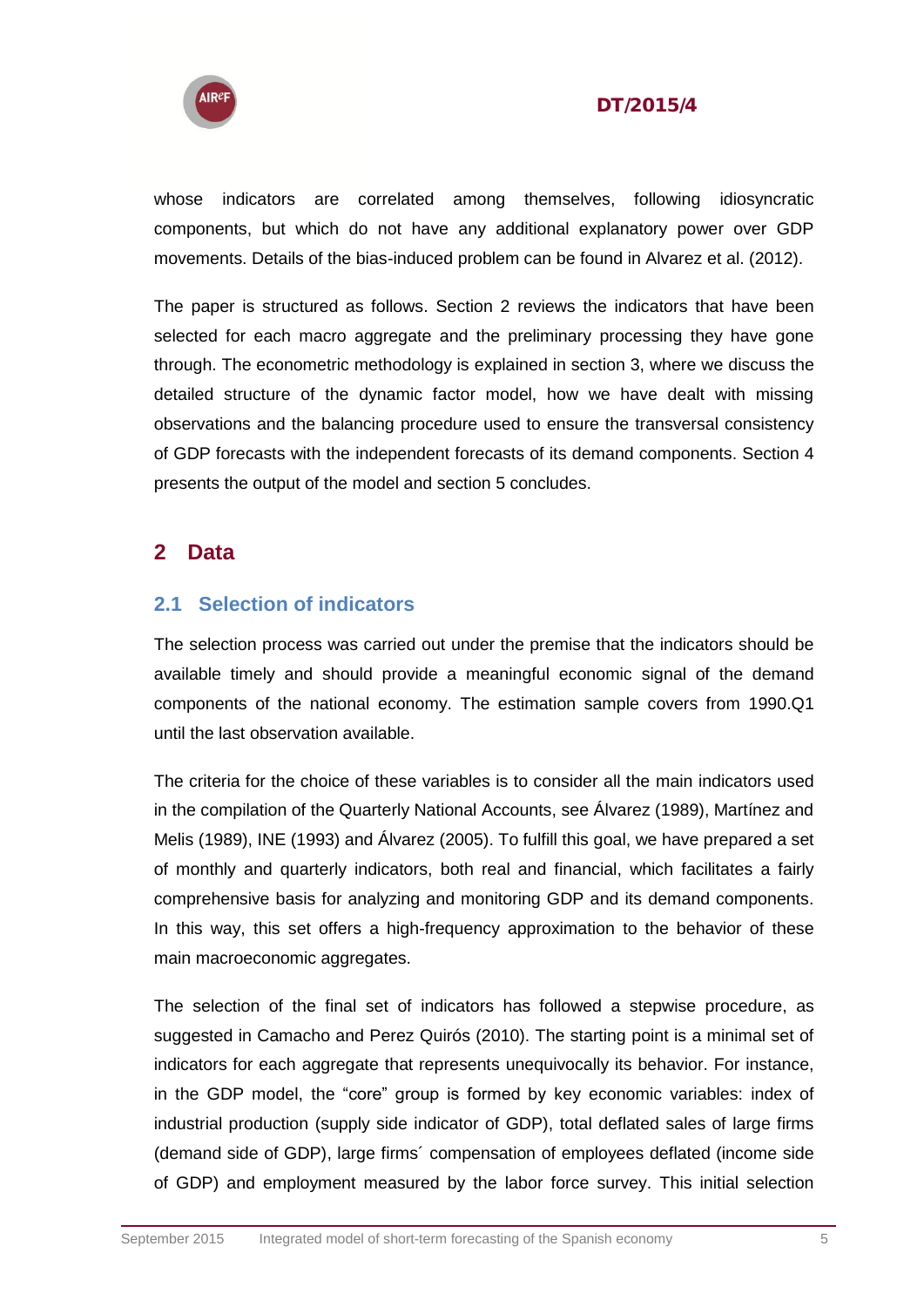

whose indicators are correlated among themselves, following idiosyncratic components, but which do not have any additional explanatory power over GDP movements. Details of the bias-induced problem can be found in Alvarez et al. (2012).

The paper is structured as follows. Section 2 reviews the indicators that have been selected for each macro aggregate and the preliminary processing they have gone through. The econometric methodology is explained in section 3, where we discuss the detailed structure of the dynamic factor model, how we have dealt with missing observations and the balancing procedure used to ensure the transversal consistency of GDP forecasts with the independent forecasts of its demand components. Section 4 presents the output of the model and section 5 concludes.

#### <span id="page-4-0"></span>**2 Data**

#### <span id="page-4-1"></span>**2.1 Selection of indicators**

The selection process was carried out under the premise that the indicators should be available timely and should provide a meaningful economic signal of the demand components of the national economy. The estimation sample covers from 1990.Q1 until the last observation available.

The criteria for the choice of these variables is to consider all the main indicators used in the compilation of the Quarterly National Accounts, see Álvarez (1989), Martínez and Melis (1989), INE (1993) and Álvarez (2005). To fulfill this goal, we have prepared a set of monthly and quarterly indicators, both real and financial, which facilitates a fairly comprehensive basis for analyzing and monitoring GDP and its demand components. In this way, this set offers a high-frequency approximation to the behavior of these main macroeconomic aggregates.

The selection of the final set of indicators has followed a stepwise procedure, as suggested in Camacho and Perez Quirós (2010). The starting point is a minimal set of indicators for each aggregate that represents unequivocally its behavior. For instance, in the GDP model, the "core" group is formed by key economic variables: index of industrial production (supply side indicator of GDP), total deflated sales of large firms (demand side of GDP), large firms´ compensation of employees deflated (income side of GDP) and employment measured by the labor force survey. This initial selection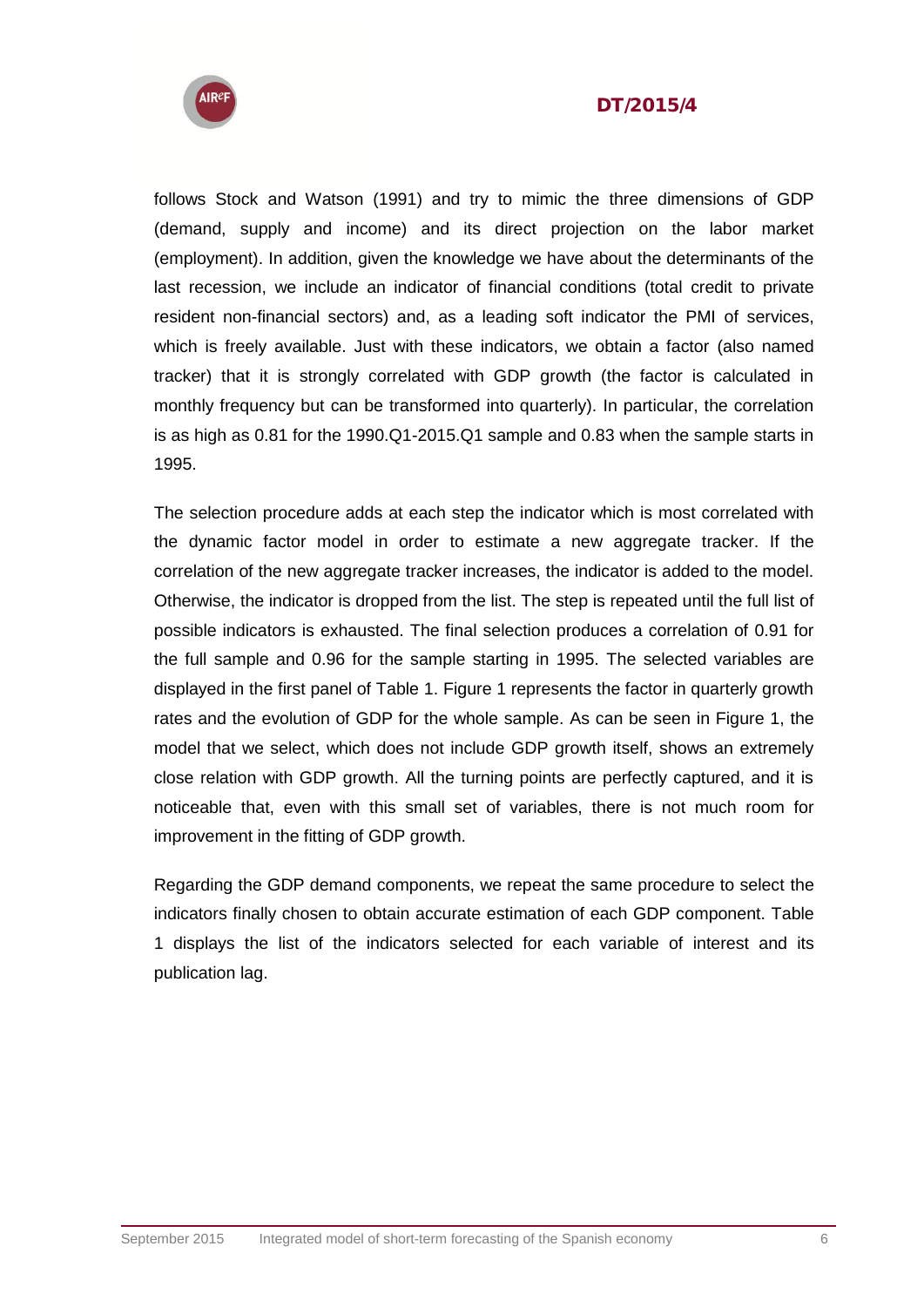



follows Stock and Watson (1991) and try to mimic the three dimensions of GDP (demand, supply and income) and its direct projection on the labor market (employment). In addition, given the knowledge we have about the determinants of the last recession, we include an indicator of financial conditions (total credit to private resident non-financial sectors) and, as a leading soft indicator the PMI of services, which is freely available. Just with these indicators, we obtain a factor (also named tracker) that it is strongly correlated with GDP growth (the factor is calculated in monthly frequency but can be transformed into quarterly). In particular, the correlation is as high as 0.81 for the 1990.Q1-2015.Q1 sample and 0.83 when the sample starts in 1995.

The selection procedure adds at each step the indicator which is most correlated with the dynamic factor model in order to estimate a new aggregate tracker. If the correlation of the new aggregate tracker increases, the indicator is added to the model. Otherwise, the indicator is dropped from the list. The step is repeated until the full list of possible indicators is exhausted. The final selection produces a correlation of 0.91 for the full sample and 0.96 for the sample starting in 1995. The selected variables are displayed in the first panel of Table 1. Figure 1 represents the factor in quarterly growth rates and the evolution of GDP for the whole sample. As can be seen in Figure 1, the model that we select, which does not include GDP growth itself, shows an extremely close relation with GDP growth. All the turning points are perfectly captured, and it is noticeable that, even with this small set of variables, there is not much room for improvement in the fitting of GDP growth.

Regarding the GDP demand components, we repeat the same procedure to select the indicators finally chosen to obtain accurate estimation of each GDP component. Table 1 displays the list of the indicators selected for each variable of interest and its publication lag.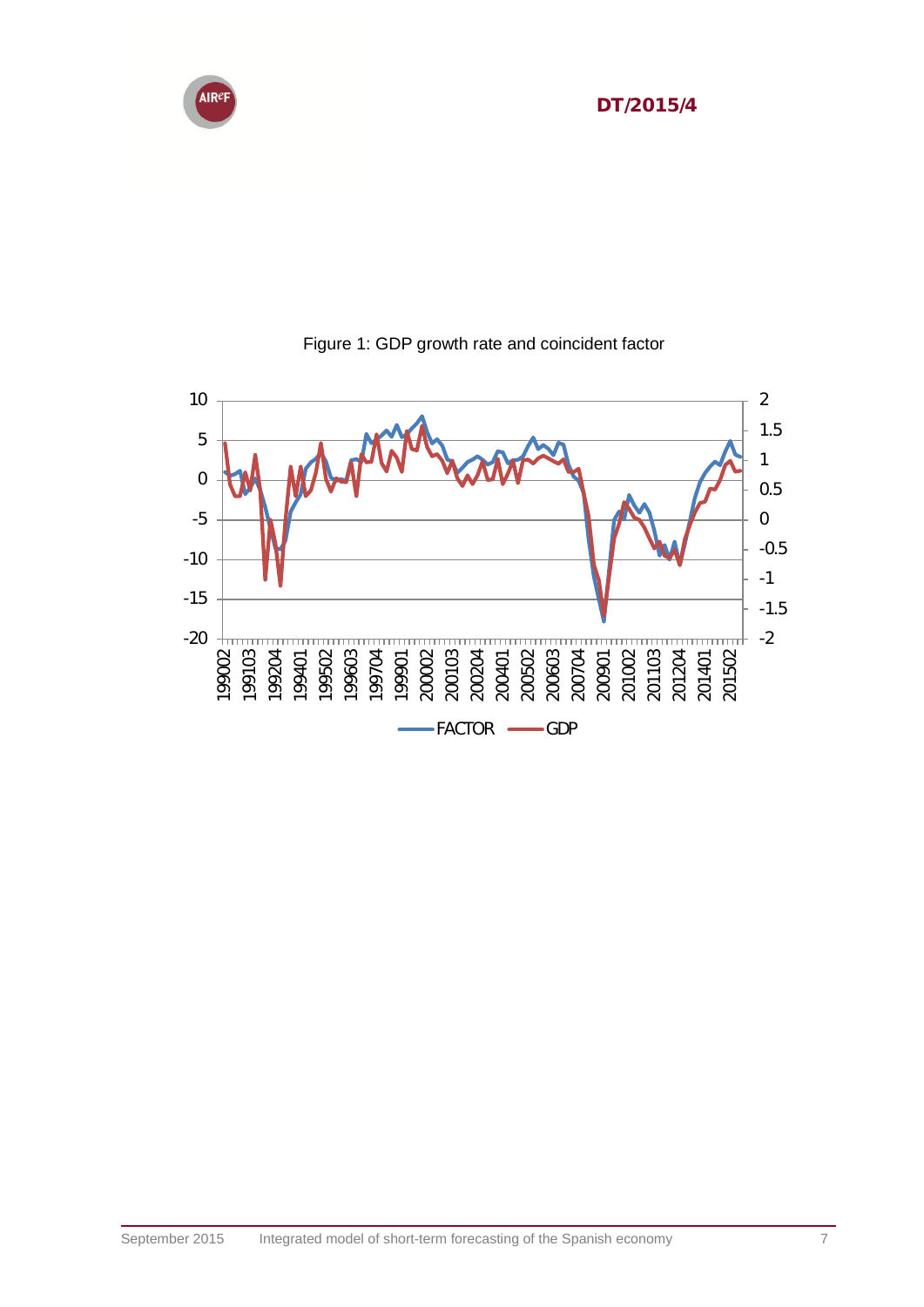



#### Figure 1: GDP growth rate and coincident factor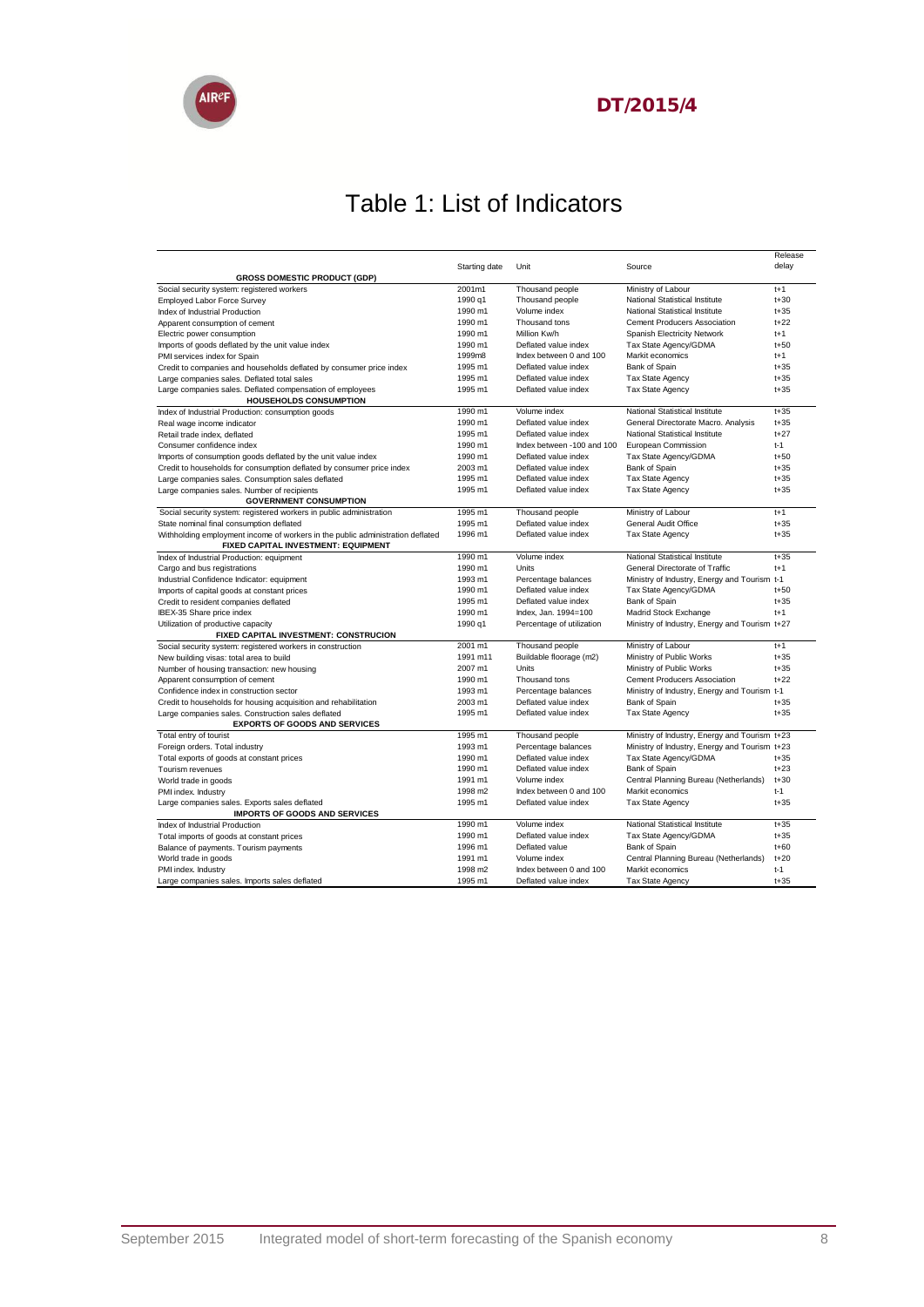

### Table 1: List of Indicators

|                                                                                       |               |                            |                                               | Release  |
|---------------------------------------------------------------------------------------|---------------|----------------------------|-----------------------------------------------|----------|
|                                                                                       | Starting date | Unit                       | Source                                        | delay    |
| <b>GROSS DOMESTIC PRODUCT (GDP)</b>                                                   |               |                            |                                               |          |
| Social security system: registered workers                                            | 2001m1        | Thousand people            | Ministry of Labour                            | $t+1$    |
| <b>Employed Labor Force Survey</b>                                                    | 1990 g1       | Thousand people            | National Statistical Institute                | $t + 30$ |
| Index of Industrial Production                                                        | 1990 m1       | Volume index               | National Statistical Institute                | $t + 35$ |
| Apparent consumption of cement                                                        | 1990 m1       | Thousand tons              | <b>Cement Producers Association</b>           | $t+22$   |
| Electric power consumption                                                            | 1990 m1       | Million Kw/h               | Spanish Electricity Network                   | $t+1$    |
| Imports of goods deflated by the unit value index                                     | 1990 m1       | Deflated value index       | Tax State Agency/GDMA                         | $t + 50$ |
| PMI services index for Spain                                                          | 1999m8        | Index between 0 and 100    | Markit economics                              | $t+1$    |
| Credit to companies and households deflated by consumer price index                   | 1995 m1       | Deflated value index       | Bank of Spain                                 | $t + 35$ |
| Large companies sales. Deflated total sales                                           | 1995 m1       | Deflated value index       | Tax State Agency                              | $t + 35$ |
| Large companies sales. Deflated compensation of employees                             | 1995 m1       | Deflated value index       | Tax State Agency                              | $t + 35$ |
| <b>HOUSEHOLDS CONSUMPTION</b>                                                         |               |                            |                                               |          |
| Index of Industrial Production: consumption goods                                     | 1990 m1       | Volume index               | National Statistical Institute                | $t + 35$ |
| Real wage income indicator                                                            | 1990 m1       | Deflated value index       | General Directorate Macro. Analysis           | $t + 35$ |
| Retail trade index, deflated                                                          | 1995 m1       | Deflated value index       | National Statistical Institute                | $t+27$   |
| Consumer confidence index                                                             | 1990 m1       | Index between -100 and 100 | European Commission                           | $t-1$    |
| Imports of consumption goods deflated by the unit value index                         | 1990 m1       | Deflated value index       | Tax State Agency/GDMA                         | $t + 50$ |
| Credit to households for consumption deflated by consumer price index                 | 2003 m1       | Deflated value index       | Bank of Spain                                 | $t + 35$ |
| Large companies sales. Consumption sales deflated                                     | 1995 m1       | Deflated value index       | Tax State Agency                              | $t + 35$ |
| Large companies sales. Number of recipients                                           | 1995 m1       | Deflated value index       | <b>Tax State Agency</b>                       | $t + 35$ |
| <b>GOVERNMENT CONSUMPTION</b>                                                         |               |                            |                                               |          |
| Social security system: registered workers in public administration                   | 1995 m1       | Thousand people            | Ministry of Labour                            | $t+1$    |
| State nominal final consumption deflated                                              | 1995 m1       | Deflated value index       | General Audit Office                          | $t + 35$ |
| Withholding employment income of workers in the public administration deflated        | 1996 m1       | Deflated value index       | <b>Tax State Agency</b>                       | $t + 35$ |
| FIXED CAPITAL INVESTMENT: EQUIPMENT                                                   |               |                            |                                               |          |
| Index of Industrial Production: equipment                                             | 1990 m1       | Volume index               | National Statistical Institute                | $t + 35$ |
| Cargo and bus registrations                                                           | 1990 m1       | Units                      | General Directorate of Traffic                | $t+1$    |
| Industrial Confidence Indicator: equipment                                            | 1993 m1       | Percentage balances        | Ministry of Industry, Energy and Tourism t-1  |          |
| Imports of capital goods at constant prices                                           | 1990 m1       | Deflated value index       | Tax State Agency/GDMA                         | $t + 50$ |
| Credit to resident companies deflated                                                 | 1995 m1       | Deflated value index       | Bank of Spain                                 | $1 + 35$ |
| IBEX-35 Share price index                                                             | 1990 m1       | Index, Jan. 1994=100       | Madrid Stock Exchange                         | $t+1$    |
| Utilization of productive capacity                                                    | 1990 q1       | Percentage of utilization  | Ministry of Industry, Energy and Tourism t+27 |          |
| FIXED CAPITAL INVESTMENT: CONSTRUCION                                                 |               |                            |                                               |          |
| Social security system: registered workers in construction                            | 2001 m1       | Thousand people            | Ministry of Labour                            | $t+1$    |
| New building visas: total area to build                                               | 1991 m11      | Buildable floorage (m2)    | Ministry of Public Works                      | $t + 35$ |
| Number of housing transaction: new housing                                            | 2007 m1       | Units                      | Ministry of Public Works                      | $t + 35$ |
| Apparent consumption of cement                                                        | 1990 m1       | Thousand tons              | <b>Cement Producers Association</b>           | $t+22$   |
| Confidence index in construction sector                                               | 1993 m1       | Percentage balances        | Ministry of Industry, Energy and Tourism t-1  |          |
| Credit to households for housing acquisition and rehabilitation                       | 2003 m1       | Deflated value index       | Bank of Spain                                 | $t + 35$ |
| Large companies sales. Construction sales deflated                                    | 1995 m1       | Deflated value index       | Tax State Agency                              | $t + 35$ |
| <b>EXPORTS OF GOODS AND SERVICES</b>                                                  |               |                            |                                               |          |
| Total entry of tourist                                                                | 1995 m1       | Thousand people            | Ministry of Industry, Energy and Tourism t+23 |          |
| Foreign orders. Total industry                                                        | 1993 m1       | Percentage balances        | Ministry of Industry, Energy and Tourism t+23 |          |
| Total exports of goods at constant prices                                             | 1990 m1       | Deflated value index       | Tax State Agency/GDMA                         | $t + 35$ |
| Tourism revenues                                                                      | 1990 m1       | Deflated value index       | Bank of Spain                                 | $t+23$   |
| World trade in goods                                                                  | 1991 m1       | Volume index               | Central Planning Bureau (Netherlands)         | $t + 30$ |
| PMI index. Industry                                                                   | 1998 m2       | Index between 0 and 100    | Markit economics                              | $t-1$    |
|                                                                                       | 1995 m1       | Deflated value index       | Tax State Agency                              | $t + 35$ |
| Large companies sales. Exports sales deflated<br><b>IMPORTS OF GOODS AND SERVICES</b> |               |                            |                                               |          |
| Index of Industrial Production                                                        | 1990 m1       | Volume index               | National Statistical Institute                | $t + 35$ |
| Total imports of goods at constant prices                                             | 1990 m1       | Deflated value index       | Tax State Agency/GDMA                         | $t + 35$ |
| Balance of payments. Tourism payments                                                 | 1996 m1       | Deflated value             | Bank of Spain                                 | $t + 60$ |
| World trade in goods                                                                  | 1991 m1       | Volume index               | Central Planning Bureau (Netherlands)         | $t+20$   |
| PMI index. Industry                                                                   | 1998 m2       | Index between 0 and 100    | Markit economics                              | $t-1$    |
| Large companies sales. Imports sales deflated                                         | 1995 m1       | Deflated value index       | <b>Tax State Agency</b>                       | $t + 35$ |
|                                                                                       |               |                            |                                               |          |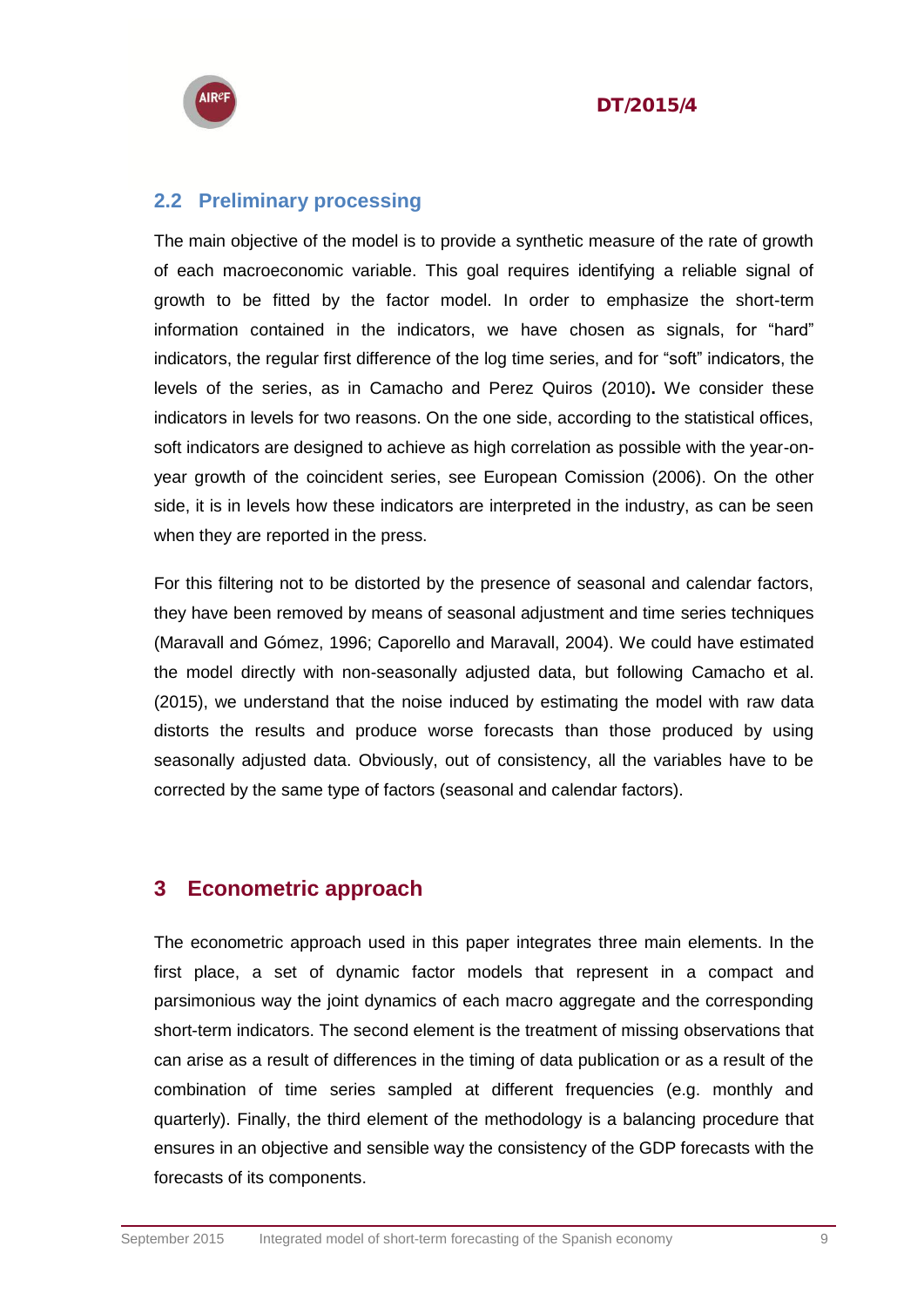



#### <span id="page-8-0"></span>**2.2 Preliminary processing**

The main objective of the model is to provide a synthetic measure of the rate of growth of each macroeconomic variable. This goal requires identifying a reliable signal of growth to be fitted by the factor model. In order to emphasize the short-term information contained in the indicators, we have chosen as signals, for "hard" indicators, the regular first difference of the log time series, and for "soft" indicators, the levels of the series, as in Camacho and Perez Quiros (2010)**.** We consider these indicators in levels for two reasons. On the one side, according to the statistical offices, soft indicators are designed to achieve as high correlation as possible with the year-onyear growth of the coincident series, see European Comission (2006). On the other side, it is in levels how these indicators are interpreted in the industry, as can be seen when they are reported in the press.

For this filtering not to be distorted by the presence of seasonal and calendar factors, they have been removed by means of seasonal adjustment and time series techniques (Maravall and Gómez, 1996; Caporello and Maravall, 2004). We could have estimated the model directly with non-seasonally adjusted data, but following Camacho et al. (2015), we understand that the noise induced by estimating the model with raw data distorts the results and produce worse forecasts than those produced by using seasonally adjusted data. Obviously, out of consistency, all the variables have to be corrected by the same type of factors (seasonal and calendar factors).

#### <span id="page-8-1"></span>**3 Econometric approach**

The econometric approach used in this paper integrates three main elements. In the first place, a set of dynamic factor models that represent in a compact and parsimonious way the joint dynamics of each macro aggregate and the corresponding short-term indicators. The second element is the treatment of missing observations that can arise as a result of differences in the timing of data publication or as a result of the combination of time series sampled at different frequencies (e.g. monthly and quarterly). Finally, the third element of the methodology is a balancing procedure that ensures in an objective and sensible way the consistency of the GDP forecasts with the forecasts of its components.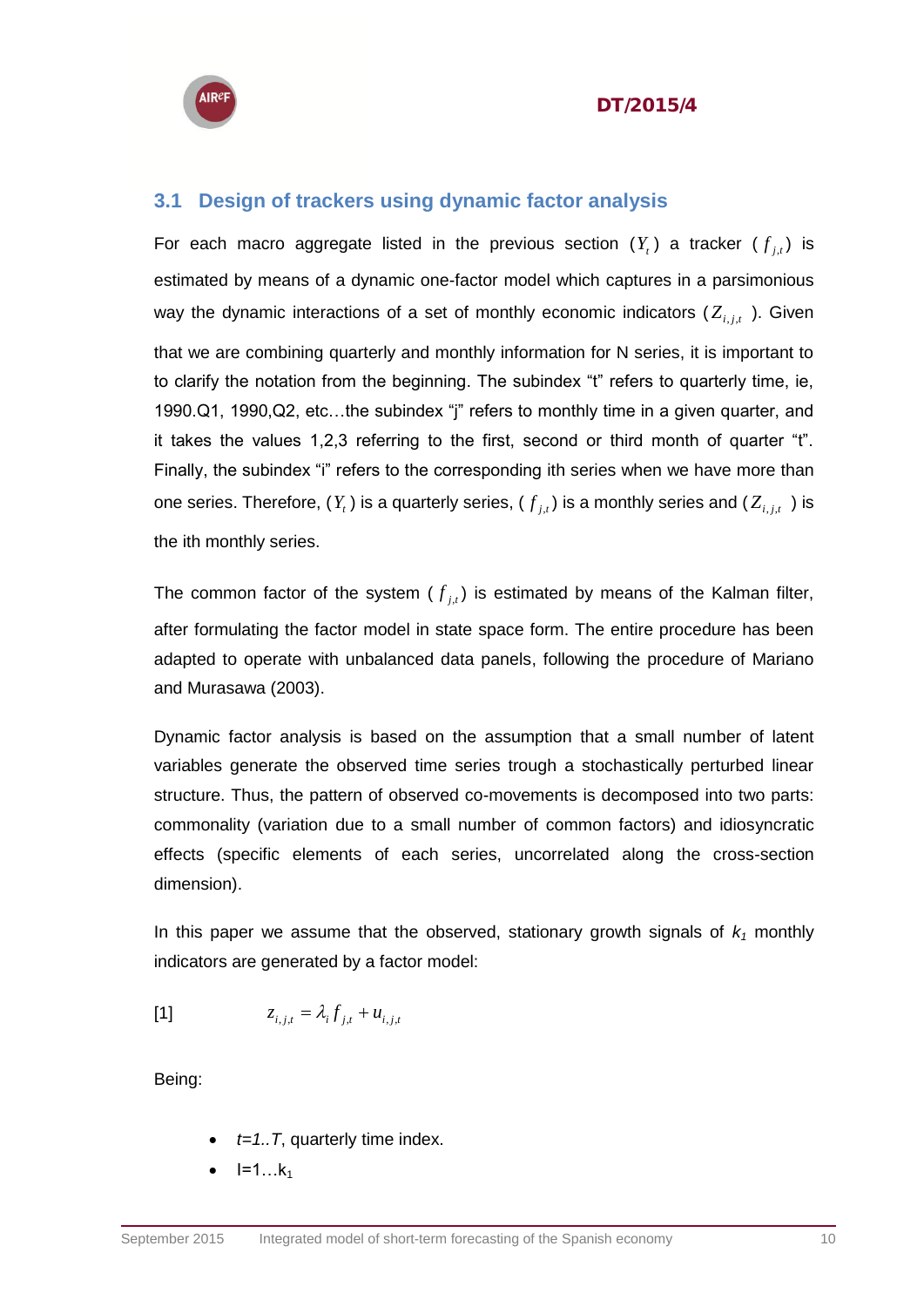



#### <span id="page-9-0"></span>**3.1 Design of trackers using dynamic factor analysis**

For each macro aggregate listed in the previous section  $(Y<sub>t</sub>)$  a tracker  $(f<sub>j,t</sub>)$  is estimated by means of a dynamic one-factor model which captures in a parsimonious way the dynamic interactions of a set of monthly economic indicators  $(Z_{i,j,t})$ . Given that we are combining quarterly and monthly information for N series, it is important to to clarify the notation from the beginning. The subindex "t" refers to quarterly time, ie, 1990.Q1, 1990,Q2, etc…the subindex "j" refers to monthly time in a given quarter, and it takes the values 1,2,3 referring to the first, second or third month of quarter "t". Finally, the subindex "i" refers to the corresponding ith series when we have more than one series. Therefore,  $(Y_{t})$  is a quarterly series,  $(f_{j,t})$  is a monthly series and  $(Z_{i,j,t})$  is the ith monthly series.

The common factor of the system  $(f_{j,t})$  is estimated by means of the Kalman filter, after formulating the factor model in state space form. The entire procedure has been adapted to operate with unbalanced data panels, following the procedure of Mariano and Murasawa (2003).

Dynamic factor analysis is based on the assumption that a small number of latent variables generate the observed time series trough a stochastically perturbed linear structure. Thus, the pattern of observed co-movements is decomposed into two parts: commonality (variation due to a small number of common factors) and idiosyncratic effects (specific elements of each series, uncorrelated along the cross-section dimension).

In this paper we assume that the observed, stationary growth signals of *k<sup>1</sup>* monthly indicators are generated by a factor model:

$$
z_{i,j,t} = \lambda_i f_{j,t} + u_{i,j,t}
$$

Being:

- $\cdot$  *t=1..T*, quarterly time index.
- $\bullet$   $I=1...k_1$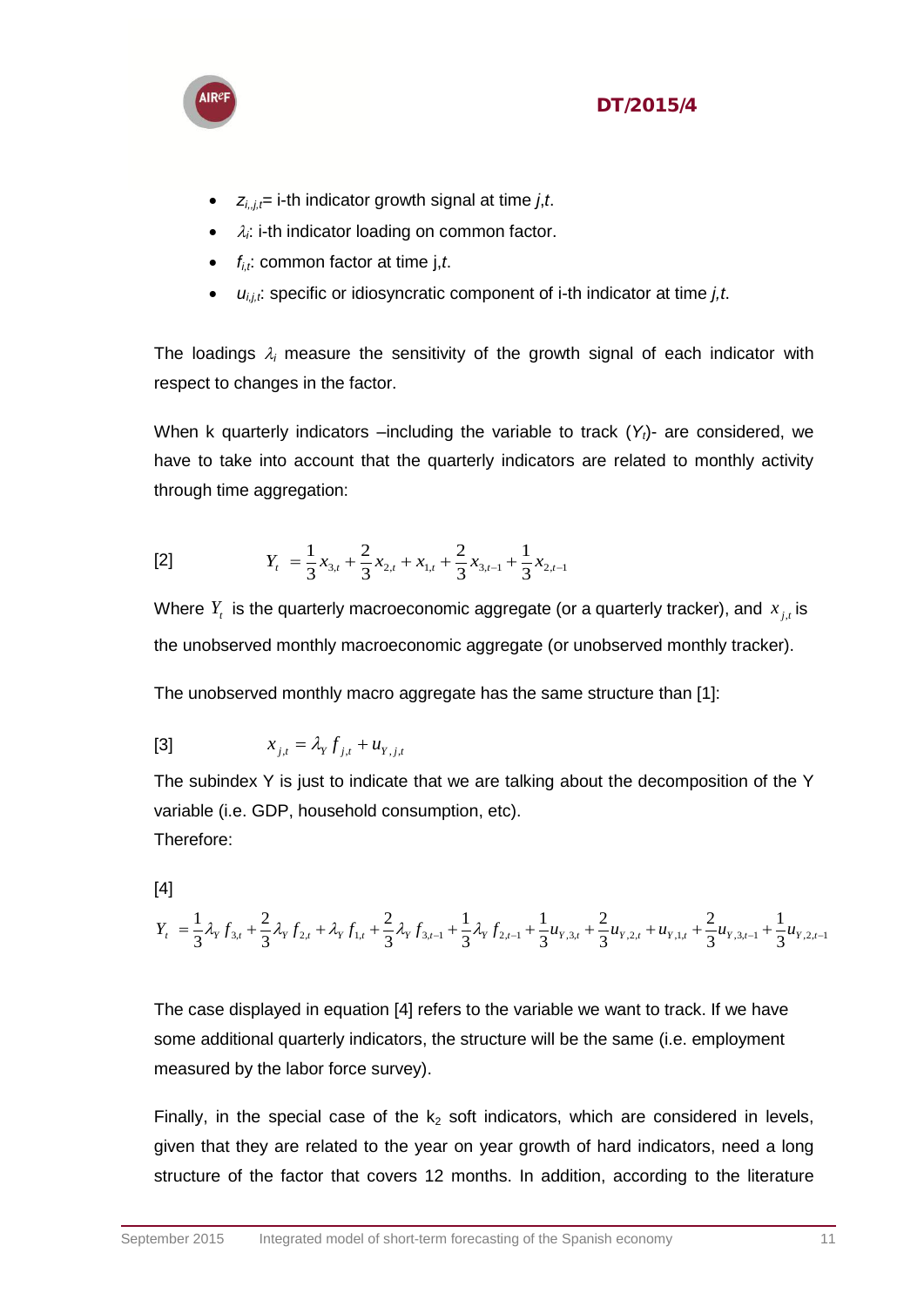

- $z_{i,j,t}$ = i-th indicator growth signal at time *j*,*t*.
- $\bullet$   $\lambda_i$ : i-th indicator loading on common factor.
- $\bullet$  *f<sub>i,t</sub>*: common factor at time j,*t*.
- *ui,j,t* : specific or idiosyncratic component of i-th indicator at time *j,t*.

The loadings  $\lambda_i$  measure the sensitivity of the growth signal of each indicator with respect to changes in the factor.

When k quarterly indicators –including the variable to track (*Y<sub>t</sub>*)- are considered, we have to take into account that the quarterly indicators are related to monthly activity through time aggregation:

$$
[2] \t Y_t = \frac{1}{3}x_{3,t} + \frac{2}{3}x_{2,t} + x_{1,t} + \frac{2}{3}x_{3,t-1} + \frac{1}{3}x_{2,t-1}
$$

Where  $Y_t$  is the quarterly macroeconomic aggregate (or a quarterly tracker), and  $x_{j,t}$  is the unobserved monthly macroeconomic aggregate (or unobserved monthly tracker).

The unobserved monthly macro aggregate has the same structure than [1]:

[3] 
$$
x_{j,t} = \lambda_Y f_{j,t} + u_{Y,j,t}
$$

The subindex Y is just to indicate that we are talking about the decomposition of the Y variable (i.e. GDP, household consumption, etc). Therefore:

[4]

$$
Y_{t} = \frac{1}{3}\lambda_{Y}f_{3,t} + \frac{2}{3}\lambda_{Y}f_{2,t} + \lambda_{Y}f_{1,t} + \frac{2}{3}\lambda_{Y}f_{3,t-1} + \frac{1}{3}\lambda_{Y}f_{2,t-1} + \frac{1}{3}u_{Y,3,t} + \frac{2}{3}u_{Y,2,t} + u_{Y,1,t} + \frac{2}{3}u_{Y,3,t-1} + \frac{1}{3}u_{Y,2,t-1}
$$

The case displayed in equation [4] refers to the variable we want to track. If we have some additional quarterly indicators, the structure will be the same (i.e. employment measured by the labor force survey).

Finally, in the special case of the  $k_2$  soft indicators, which are considered in levels, given that they are related to the year on year growth of hard indicators, need a long structure of the factor that covers 12 months. In addition, according to the literature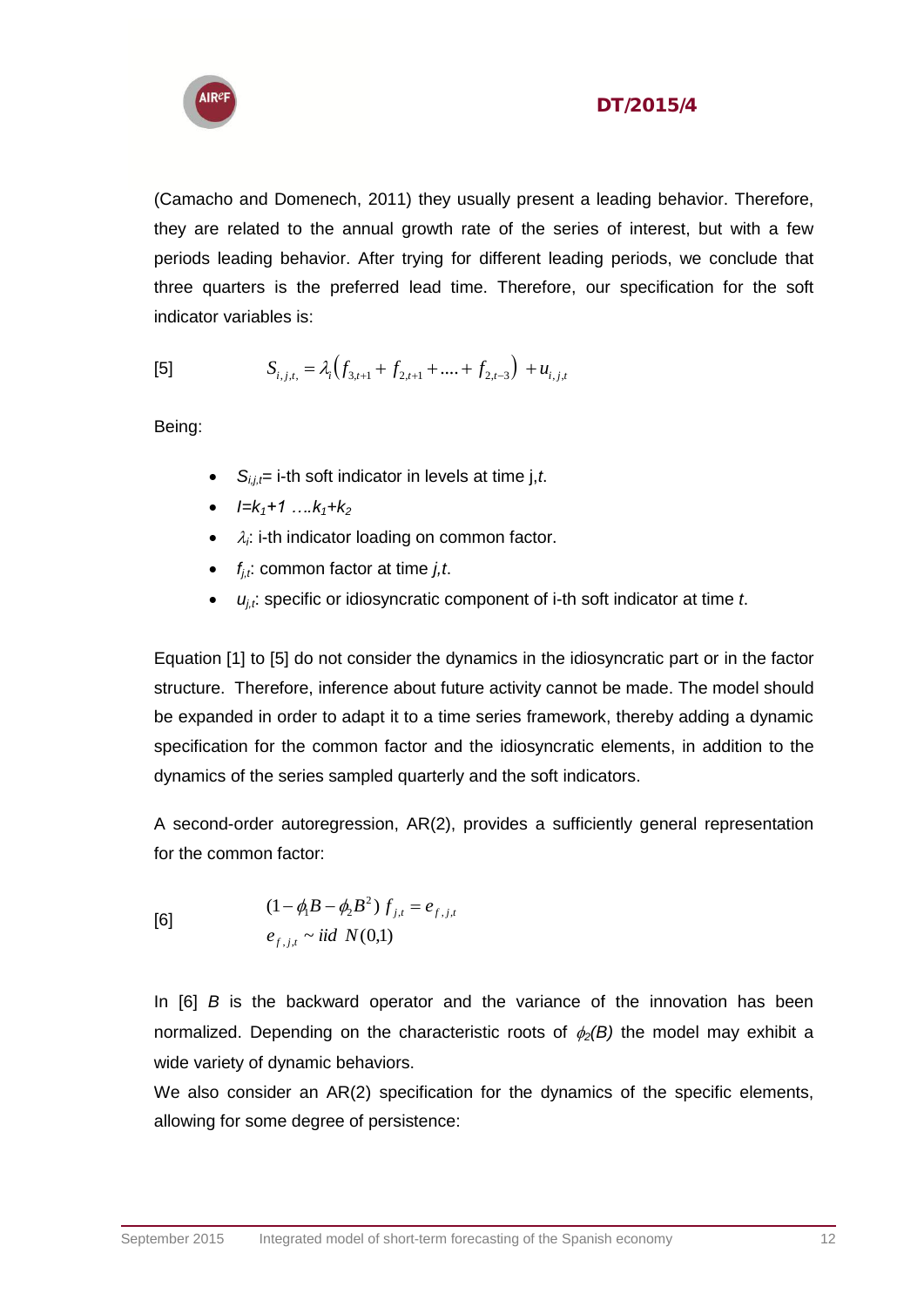

(Camacho and Domenech, 2011) they usually present a leading behavior. Therefore, they are related to the annual growth rate of the series of interest, but with a few periods leading behavior. After trying for different leading periods, we conclude that three quarters is the preferred lead time. Therefore, our specification for the soft indicator variables is:

[5] 
$$
S_{i,j,t} = \lambda_i \Big( f_{3,t+1} + f_{2,t+1} + \dots + f_{2,t-3} \Big) + u_{i,j,t}
$$

Being:

- $S_{i,i}$ = i-th soft indicator in levels at time j,*t*.
- $I=K_1+1$  …. $K_1+K_2$
- $\bullet$   $\lambda_i$ : i-th indicator loading on common factor.
- $\bullet$   $f_{i,t}$ : common factor at time *j,t.*
- *uj,t* : specific or idiosyncratic component of i-th soft indicator at time *t*.

Equation [1] to [5] do not consider the dynamics in the idiosyncratic part or in the factor structure. Therefore, inference about future activity cannot be made. The model should be expanded in order to adapt it to a time series framework, thereby adding a dynamic specification for the common factor and the idiosyncratic elements, in addition to the dynamics of the series sampled quarterly and the soft indicators.

A second-order autoregression, AR(2), provides a sufficiently general representation for the common factor:

[6]  
\n
$$
(1 - \phi_1 B - \phi_2 B^2) f_{j,t} = e_{f,j,t}
$$
\n
$$
e_{f,j,t} \sim \text{iid } N(0,1)
$$

In [6] *B* is the backward operator and the variance of the innovation has been normalized. Depending on the characteristic roots of  $\phi_2(B)$  the model may exhibit a wide variety of dynamic behaviors.

We also consider an AR(2) specification for the dynamics of the specific elements, allowing for some degree of persistence: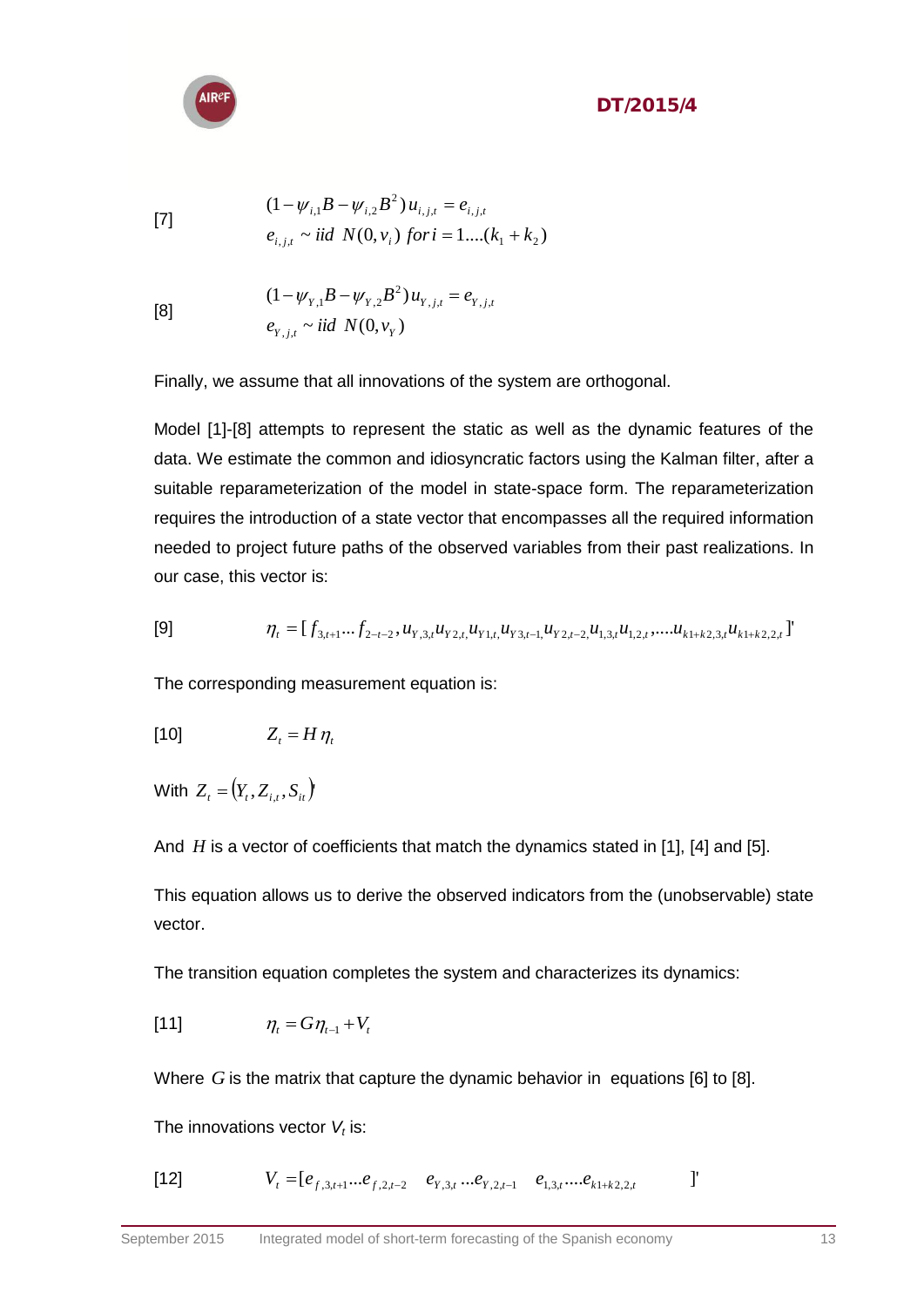[7]  
\n
$$
(1 - \psi_{i,1}B - \psi_{i,2}B^2)u_{i,j,t} = e_{i,j,t}
$$
\n
$$
e_{i,j,t} \sim \text{iid } N(0, v_i) \text{ for } i = 1, \dots, (k_1 + k_2)
$$

[8]  
\n
$$
(1 - \psi_{Y,1}B - \psi_{Y,2}B^2)u_{Y,j,t} = e_{Y,j,t}
$$
\n
$$
e_{Y,j,t} \sim \text{iid } N(0, v_Y)
$$

Finally, we assume that all innovations of the system are orthogonal.

Model [1]-[8] attempts to represent the static as well as the dynamic features of the data. We estimate the common and idiosyncratic factors using the Kalman filter, after a suitable reparameterization of the model in state-space form. The reparameterization requires the introduction of a state vector that encompasses all the required information needed to project future paths of the observed variables from their past realizations. In our case, this vector is:

$$
[9] \qquad \eta_t = [f_{3,t+1}...f_{2-t-2}, u_{Y,3,t}u_{Y2,t}u_{Y1,t}u_{Y3,t-1}u_{Y2,t-2,t}u_{1,3,t}u_{1,2,t}, \dots u_{k1+k2,3,t}u_{k1+k2,2,t}]'
$$

The corresponding measurement equation is:

$$
[10] \t Z_t = H \eta_t
$$

 $W$ ith  $Z_{t} = (Y_{t}, Z_{i,t}, S_{it})$ 

And *H* is a vector of coefficients that match the dynamics stated in [1], [4] and [5].

This equation allows us to derive the observed indicators from the (unobservable) state vector.

The transition equation completes the system and characterizes its dynamics:

$$
[11] \qquad \eta_t = G \eta_{t-1} + V_t
$$

Where  $G$  is the matrix that capture the dynamic behavior in equations [6] to [8].

The innovations vector *V<sup>t</sup>* is:

[12] 
$$
V_t = [e_{f,3,t+1}...e_{f,2,t-2} \quad e_{Y,3,t}...e_{Y,2,t-1} \quad e_{1,3,t}...e_{k1+k2,2,t} \qquad ]
$$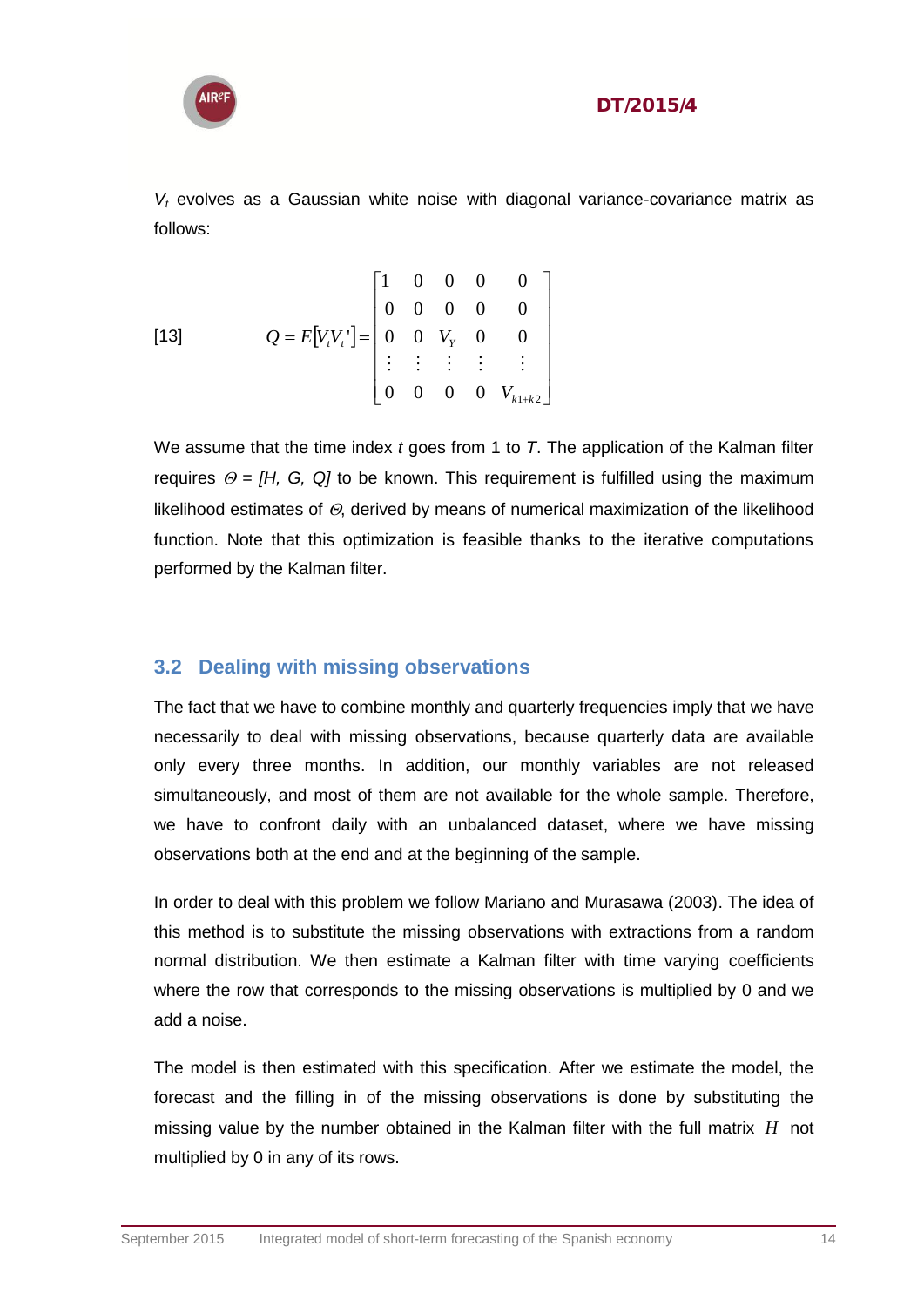

*V<sup>t</sup>* evolves as a Gaussian white noise with diagonal variance-covariance matrix as follows:

[13] 
$$
Q = E[V_t V_t] = \begin{bmatrix} 1 & 0 & 0 & 0 & 0 \\ 0 & 0 & 0 & 0 & 0 \\ 0 & 0 & V_T & 0 & 0 \\ \vdots & \vdots & \vdots & \vdots & \vdots \\ 0 & 0 & 0 & 0 & V_{k1+k2} \end{bmatrix}
$$

We assume that the time index *t* goes from 1 to *T*. The application of the Kalman filter requires  $\Theta = [H, G, Q]$  to be known. This requirement is fulfilled using the maximum likelihood estimates of  $\Theta$ , derived by means of numerical maximization of the likelihood function. Note that this optimization is feasible thanks to the iterative computations performed by the Kalman filter.

#### <span id="page-13-0"></span>**3.2 Dealing with missing observations**

The fact that we have to combine monthly and quarterly frequencies imply that we have necessarily to deal with missing observations, because quarterly data are available only every three months. In addition, our monthly variables are not released simultaneously, and most of them are not available for the whole sample. Therefore, we have to confront daily with an unbalanced dataset, where we have missing observations both at the end and at the beginning of the sample.

In order to deal with this problem we follow Mariano and Murasawa (2003). The idea of this method is to substitute the missing observations with extractions from a random normal distribution. We then estimate a Kalman filter with time varying coefficients where the row that corresponds to the missing observations is multiplied by 0 and we add a noise.

The model is then estimated with this specification. After we estimate the model, the forecast and the filling in of the missing observations is done by substituting the missing value by the number obtained in the Kalman filter with the full matrix *H* not multiplied by 0 in any of its rows.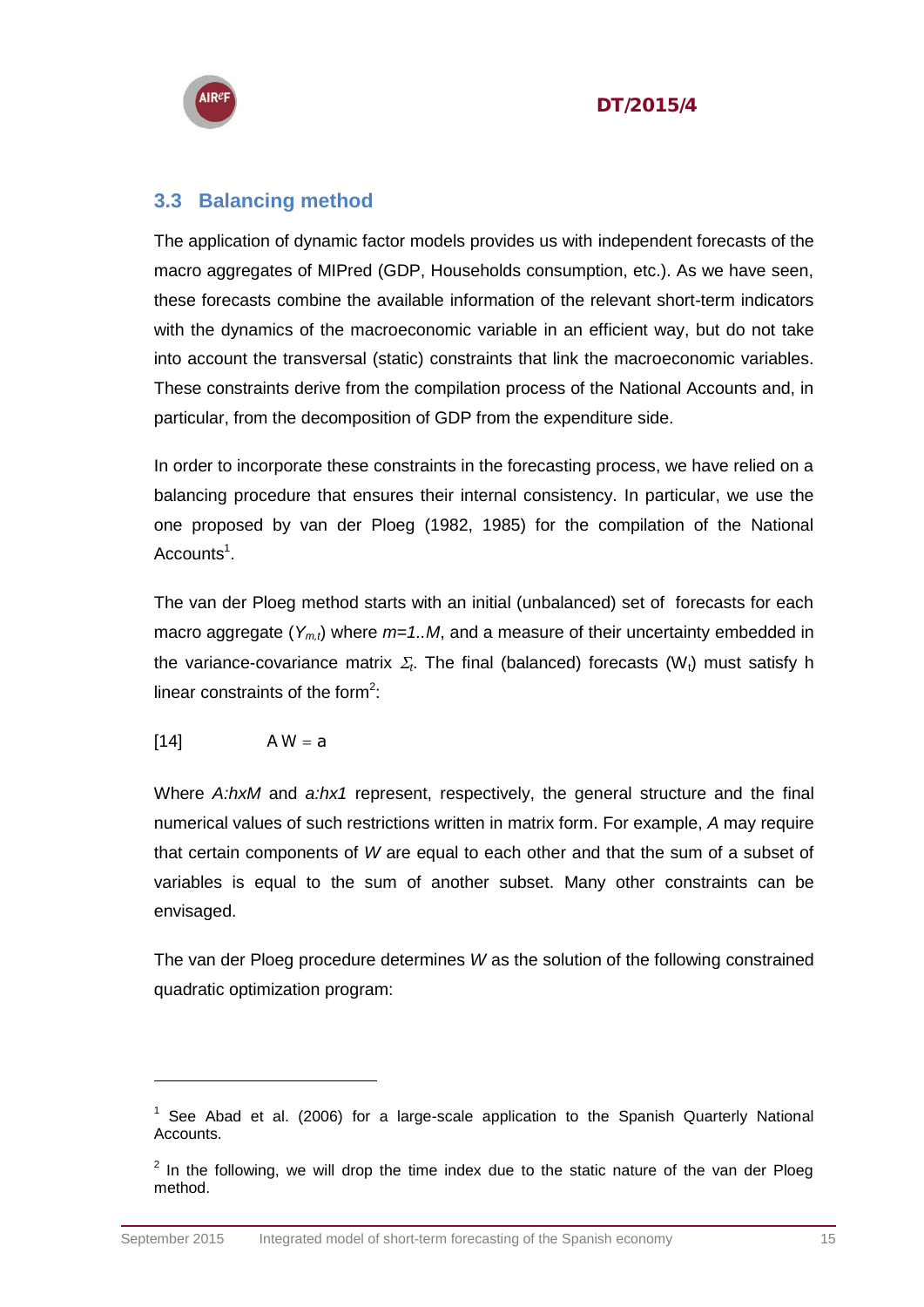



#### <span id="page-14-0"></span>**3.3 Balancing method**

The application of dynamic factor models provides us with independent forecasts of the macro aggregates of MIPred (GDP, Households consumption, etc.). As we have seen, these forecasts combine the available information of the relevant short-term indicators with the dynamics of the macroeconomic variable in an efficient way, but do not take into account the transversal (static) constraints that link the macroeconomic variables. These constraints derive from the compilation process of the National Accounts and, in particular, from the decomposition of GDP from the expenditure side.

In order to incorporate these constraints in the forecasting process, we have relied on a balancing procedure that ensures their internal consistency. In particular, we use the one proposed by van der Ploeg (1982, 1985) for the compilation of the National Accounts<sup>1</sup>.

The van der Ploeg method starts with an initial (unbalanced) set of forecasts for each macro aggregate  $(Y_{m,t})$  where  $m=1..M$ , and a measure of their uncertainty embedded in the variance-covariance matrix  $\Sigma_t$ . The final (balanced) forecasts (W<sub>t</sub>) must satisfy h linear constraints of the form<sup>2</sup>:

$$
[14] \qquad A W = a
$$

Where *A:hxM* and *a:hx1* represent, respectively, the general structure and the final numerical values of such restrictions written in matrix form. For example, *A* may require that certain components of *W* are equal to each other and that the sum of a subset of variables is equal to the sum of another subset. Many other constraints can be envisaged.

The van der Ploeg procedure determines *W* as the solution of the following constrained quadratic optimization program:

 $1$  See Abad et al. (2006) for a large-scale application to the Spanish Quarterly National **Accounts** 

 $2$  In the following, we will drop the time index due to the static nature of the van der Ploeg method.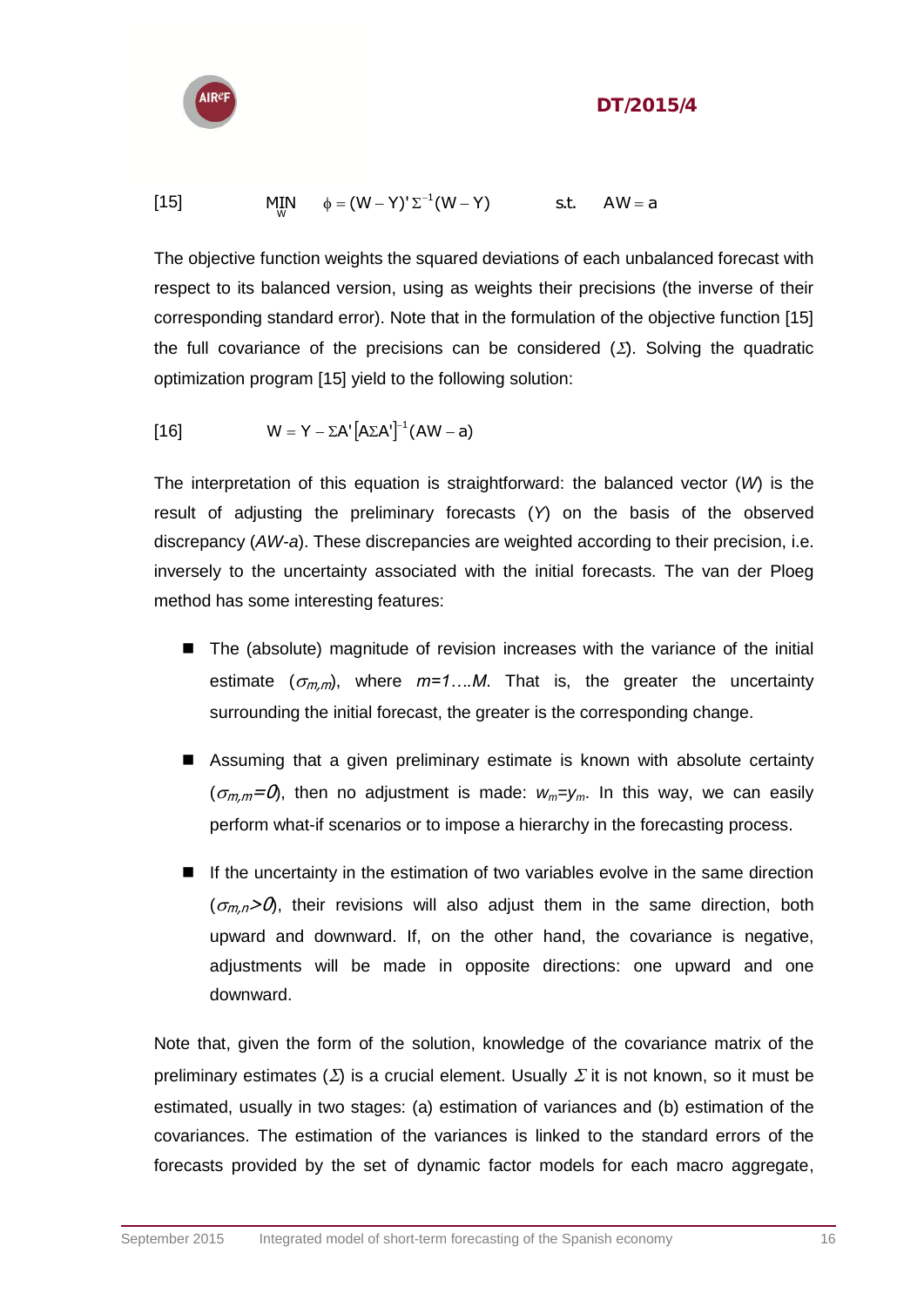

$$
[15] \qquad \qquad \mathsf{MIN}_{\mathsf{W}} \qquad \phi = (\mathsf{W} - \mathsf{Y})^{\mathsf{T}} \Sigma^{-1} (\mathsf{W} - \mathsf{Y}) \qquad \qquad \mathsf{s.t.} \qquad \mathsf{AW} = \mathsf{a}
$$

The objective function weights the squared deviations of each unbalanced forecast with respect to its balanced version, using as weights their precisions (the inverse of their corresponding standard error). Note that in the formulation of the objective function [15] the full covariance of the precisions can be considered  $(\Sigma)$ . Solving the quadratic optimization program [15] yield to the following solution:

$$
[16] \t W = Y - \Sigma A' [\Delta \Sigma A']^{-1} (AW - a)
$$

The interpretation of this equation is straightforward: the balanced vector (*W*) is the result of adjusting the preliminary forecasts (*Y*) on the basis of the observed discrepancy (*AW-a*). These discrepancies are weighted according to their precision, i.e. inversely to the uncertainty associated with the initial forecasts. The van der Ploeg method has some interesting features:

- The (absolute) magnitude of revision increases with the variance of the initial estimate  $(\sigma_{m,m})$ , where  $m=1...M$ . That is, the greater the uncertainty surrounding the initial forecast, the greater is the corresponding change.
- Assuming that a given preliminary estimate is known with absolute certainty  $(\sigma_{m,m}=\mathcal{O})$ , then no adjustment is made:  $w_m=v_m$ . In this way, we can easily perform what-if scenarios or to impose a hierarchy in the forecasting process.
- $\blacksquare$  If the uncertainty in the estimation of two variables evolve in the same direction  $(\sigma_{m,n}>\mathcal{O})$ , their revisions will also adjust them in the same direction, both upward and downward. If, on the other hand, the covariance is negative, adjustments will be made in opposite directions: one upward and one downward.

Note that, given the form of the solution, knowledge of the covariance matrix of the preliminary estimates  $(\Sigma)$  is a crucial element. Usually  $\Sigma$  it is not known, so it must be estimated, usually in two stages: (a) estimation of variances and (b) estimation of the covariances. The estimation of the variances is linked to the standard errors of the forecasts provided by the set of dynamic factor models for each macro aggregate,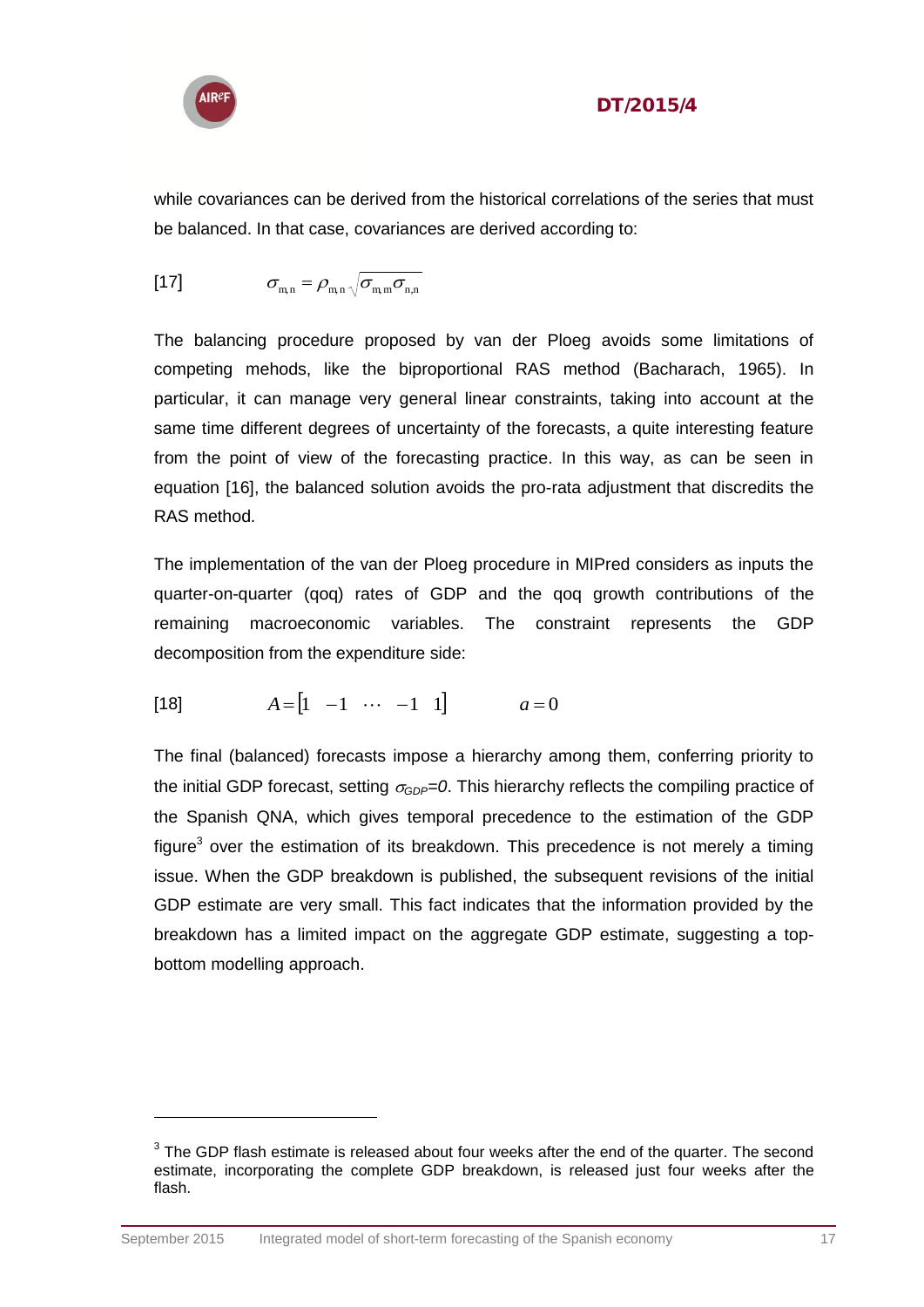

 $\overline{a}$ 

#### DT/2015/4

while covariances can be derived from the historical correlations of the series that must be balanced. In that case, covariances are derived according to:

$$
[17] \qquad \qquad \sigma_{m,n} = \rho_{m,n} \sqrt{\sigma_{m,m} \sigma_{n,n}}
$$

The balancing procedure proposed by van der Ploeg avoids some limitations of competing mehods, like the biproportional RAS method (Bacharach, 1965). In particular, it can manage very general linear constraints, taking into account at the same time different degrees of uncertainty of the forecasts, a quite interesting feature from the point of view of the forecasting practice. In this way, as can be seen in equation [16], the balanced solution avoids the pro-rata adjustment that discredits the RAS method.

The implementation of the van der Ploeg procedure in MIPred considers as inputs the quarter-on-quarter (qoq) rates of GDP and the qoq growth contributions of the remaining macroeconomic variables. The constraint represents the GDP decomposition from the expenditure side:

[18] 
$$
A = [1 \ -1 \ \cdots \ -1 \ 1]
$$
  $a = 0$ 

The final (balanced) forecasts impose a hierarchy among them, conferring priority to the initial GDP forecast, setting  $\sigma_{GDP} = 0$ . This hierarchy reflects the compiling practice of the Spanish QNA, which gives temporal precedence to the estimation of the GDP figure<sup>3</sup> over the estimation of its breakdown. This precedence is not merely a timing issue. When the GDP breakdown is published, the subsequent revisions of the initial GDP estimate are very small. This fact indicates that the information provided by the breakdown has a limited impact on the aggregate GDP estimate, suggesting a topbottom modelling approach.

 $3$  The GDP flash estimate is released about four weeks after the end of the quarter. The second estimate, incorporating the complete GDP breakdown, is released just four weeks after the flash.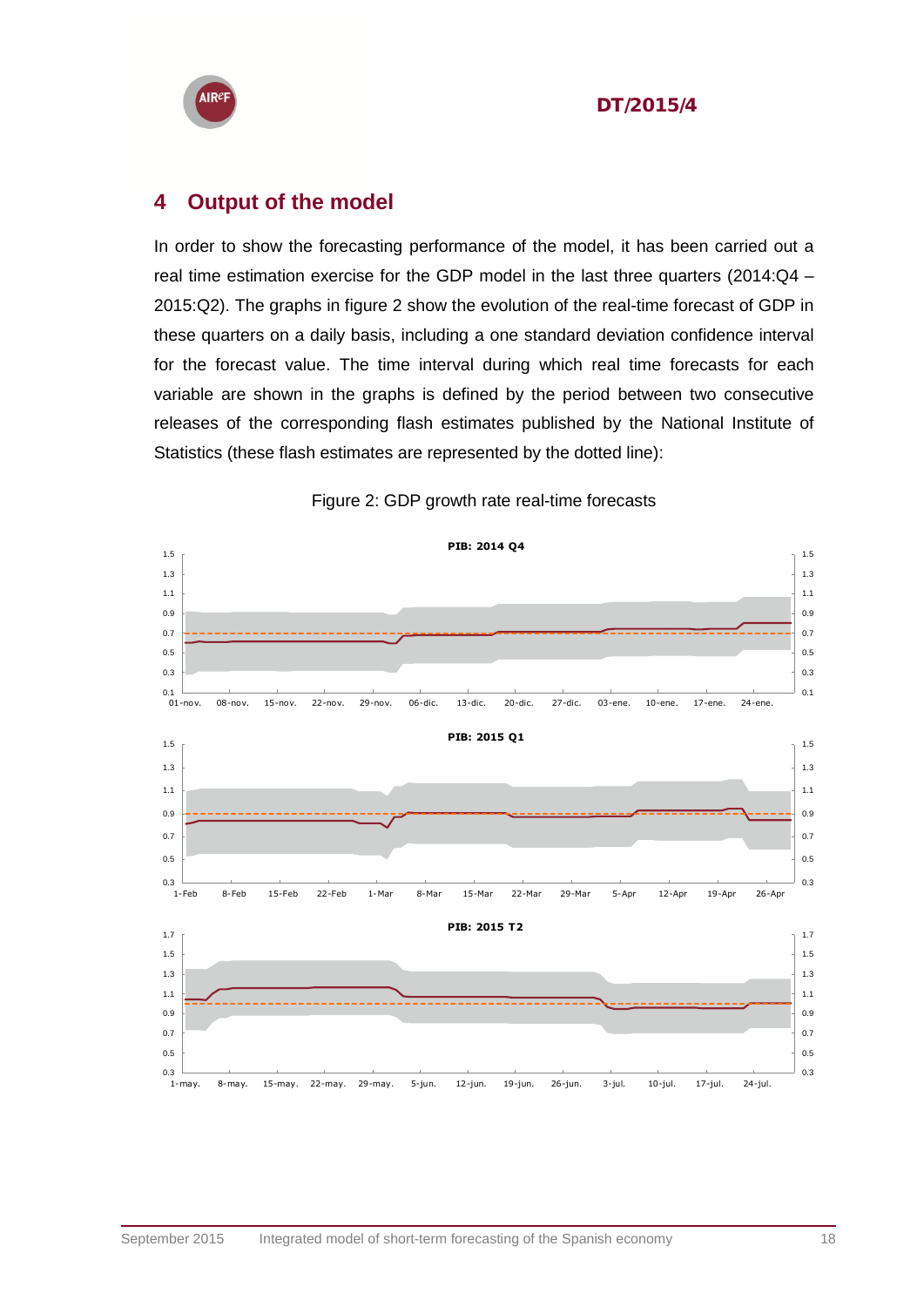

#### <span id="page-17-0"></span>**4 Output of the model**

In order to show the forecasting performance of the model, it has been carried out a real time estimation exercise for the GDP model in the last three quarters (2014:Q4 – 2015:Q2). The graphs in figure 2 show the evolution of the real-time forecast of GDP in these quarters on a daily basis, including a one standard deviation confidence interval for the forecast value. The time interval during which real time forecasts for each variable are shown in the graphs is defined by the period between two consecutive releases of the corresponding flash estimates published by the National Institute of Statistics (these flash estimates are represented by the dotted line):



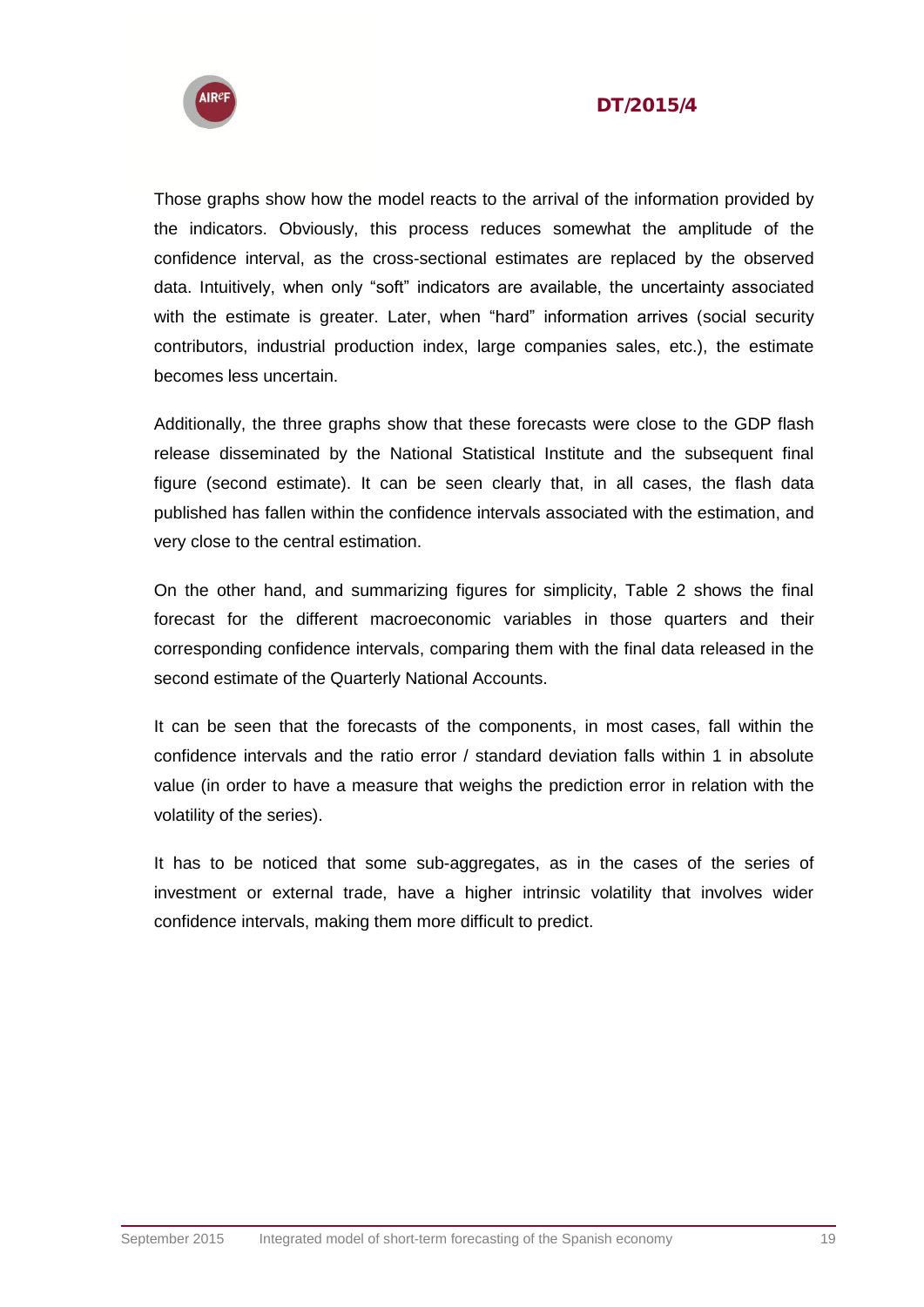



Those graphs show how the model reacts to the arrival of the information provided by the indicators. Obviously, this process reduces somewhat the amplitude of the confidence interval, as the cross-sectional estimates are replaced by the observed data. Intuitively, when only "soft" indicators are available, the uncertainty associated with the estimate is greater. Later, when "hard" information arrives (social security contributors, industrial production index, large companies sales, etc.), the estimate becomes less uncertain.

Additionally, the three graphs show that these forecasts were close to the GDP flash release disseminated by the National Statistical Institute and the subsequent final figure (second estimate). It can be seen clearly that, in all cases, the flash data published has fallen within the confidence intervals associated with the estimation, and very close to the central estimation.

On the other hand, and summarizing figures for simplicity, Table 2 shows the final forecast for the different macroeconomic variables in those quarters and their corresponding confidence intervals, comparing them with the final data released in the second estimate of the Quarterly National Accounts.

It can be seen that the forecasts of the components, in most cases, fall within the confidence intervals and the ratio error / standard deviation falls within 1 in absolute value (in order to have a measure that weighs the prediction error in relation with the volatility of the series).

It has to be noticed that some sub-aggregates, as in the cases of the series of investment or external trade, have a higher intrinsic volatility that involves wider confidence intervals, making them more difficult to predict.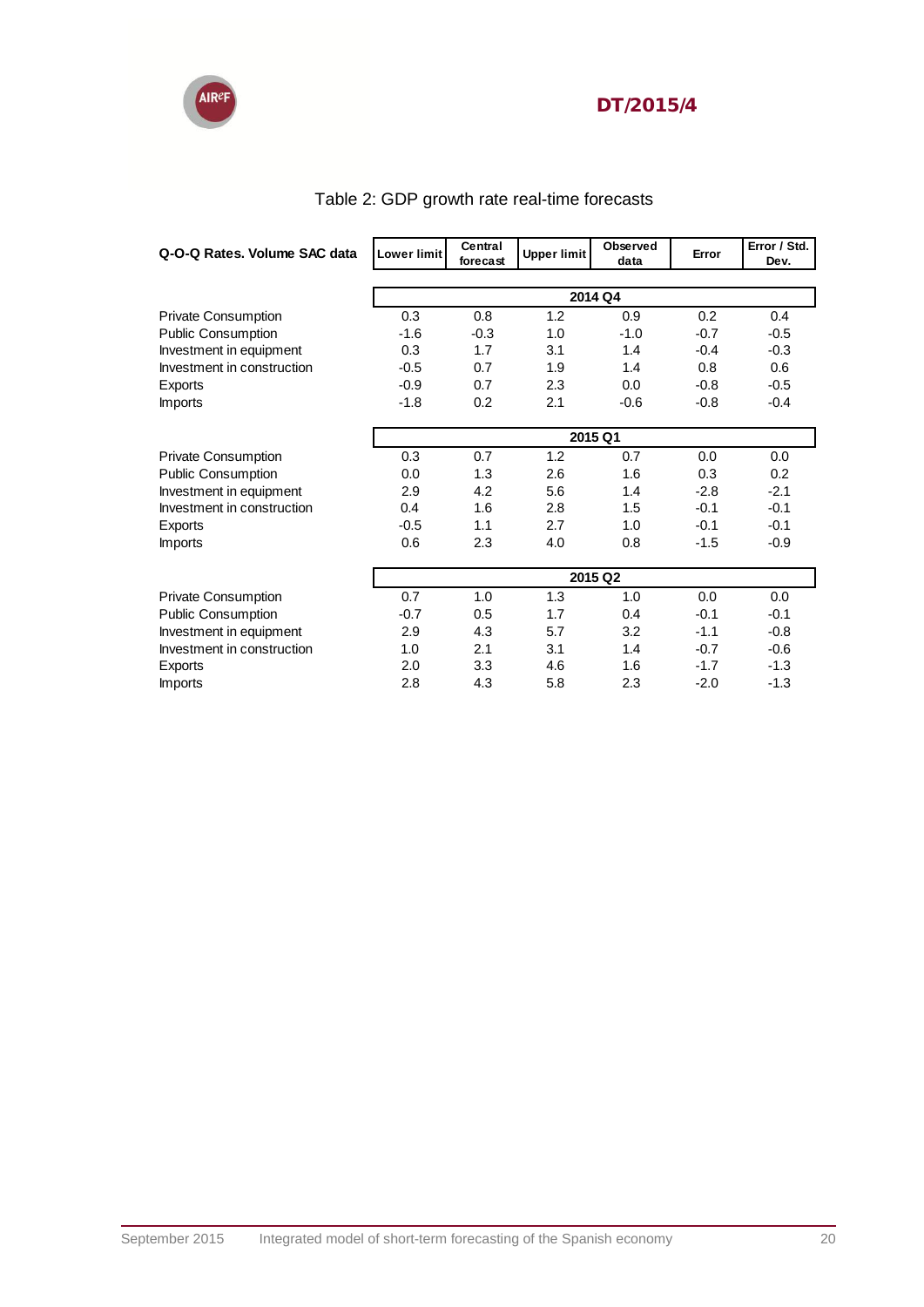

| Q-O-Q Rates. Volume SAC data | <b>Lower limit</b> | Central<br>forecast | <b>Upper limit</b> | Observed<br>data | Error  | Error / Std.<br>Dev. |
|------------------------------|--------------------|---------------------|--------------------|------------------|--------|----------------------|
|                              | 2014 Q4            |                     |                    |                  |        |                      |
|                              |                    |                     |                    |                  |        |                      |
| <b>Private Consumption</b>   | 0.3                | 0.8                 | 1.2                | 0.9              | 0.2    | 0.4                  |
| <b>Public Consumption</b>    | $-1.6$             | $-0.3$              | 1.0                | $-1.0$           | $-0.7$ | $-0.5$               |
| Investment in equipment      | 0.3                | 1.7                 | 3.1                | 1.4              | $-0.4$ | $-0.3$               |
| Investment in construction   | $-0.5$             | 0.7                 | 1.9                | 1.4              | 0.8    | 0.6                  |
| Exports                      | $-0.9$             | 0.7                 | 2.3                | 0.0              | $-0.8$ | $-0.5$               |
| <b>Imports</b>               | $-1.8$             | 0.2                 | 2.1                | $-0.6$           | $-0.8$ | $-0.4$               |
|                              | 2015 Q1            |                     |                    |                  |        |                      |
| <b>Private Consumption</b>   | 0.3                | 0.7                 | 1.2                | 0.7              | 0.0    | 0.0                  |
| <b>Public Consumption</b>    | 0.0                | 1.3                 | 2.6                | 1.6              | 0.3    | 0.2                  |
| Investment in equipment      | 2.9                | 4.2                 | 5.6                | 1.4              | $-2.8$ | $-2.1$               |
| Investment in construction   | 0.4                | 1.6                 | 2.8                | 1.5              | $-0.1$ | $-0.1$               |
| Exports                      | $-0.5$             | 1.1                 | 2.7                | 1.0              | $-0.1$ | $-0.1$               |
| <b>Imports</b>               | 0.6                | 2.3                 | 4.0                | 0.8              | $-1.5$ | $-0.9$               |
|                              | 2015 Q2            |                     |                    |                  |        |                      |
| <b>Private Consumption</b>   | 0.7                | 1.0                 | 1.3                | 1.0              | 0.0    | 0.0                  |
| <b>Public Consumption</b>    | $-0.7$             | 0.5                 | 1.7                | 0.4              | $-0.1$ | $-0.1$               |
| Investment in equipment      | 2.9                | 4.3                 | 5.7                | 3.2              | $-1.1$ | $-0.8$               |
| Investment in construction   | 1.0                | 2.1                 | 3.1                | 1.4              | $-0.7$ | $-0.6$               |
| Exports                      | 2.0                | 3.3                 | 4.6                | 1.6              | $-1.7$ | $-1.3$               |
| <b>Imports</b>               | 2.8                | 4.3                 | 5.8                | 2.3              | $-2.0$ | $-1.3$               |

### Table 2: GDP growth rate real-time forecasts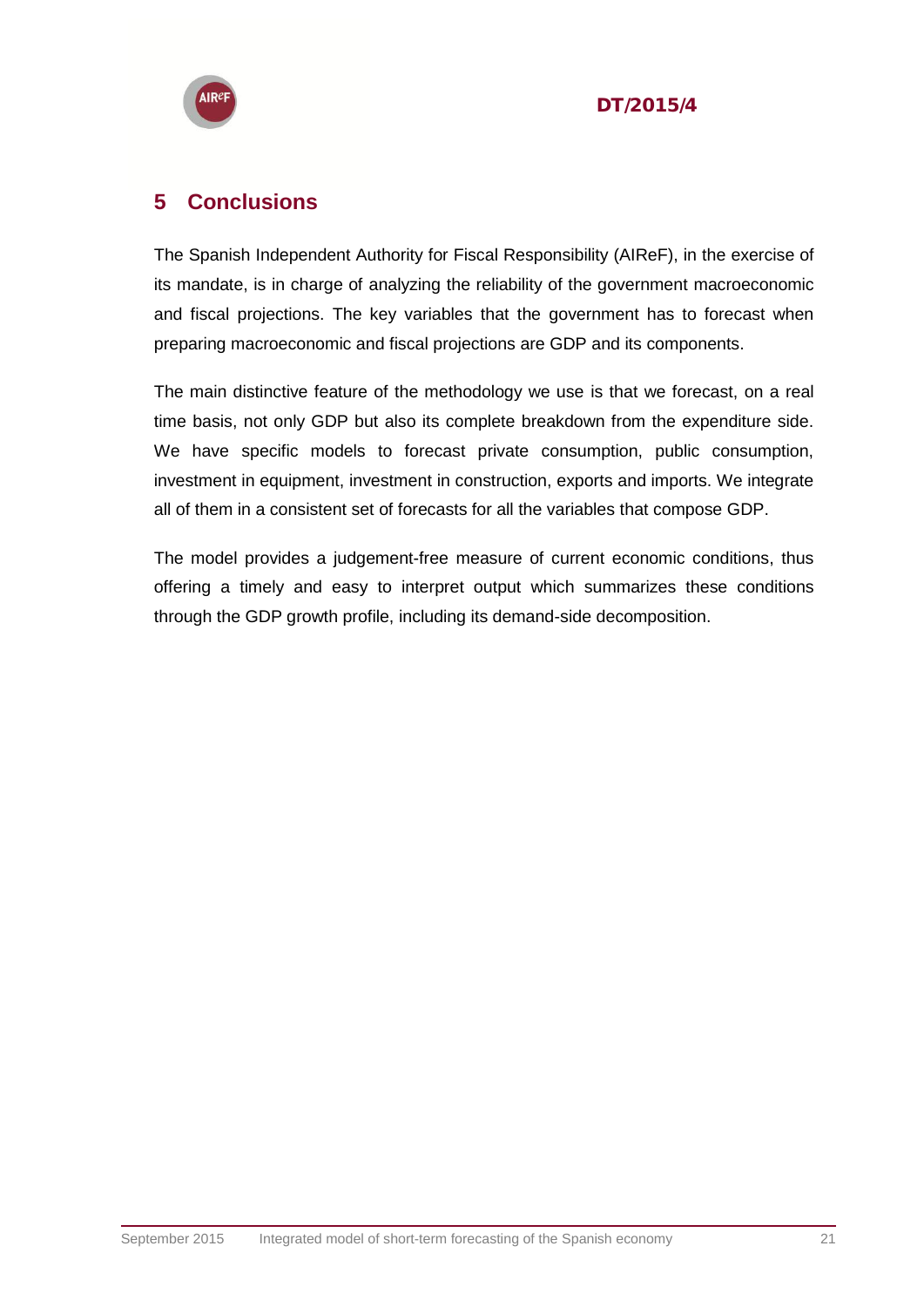



#### <span id="page-20-0"></span>**5 Conclusions**

The Spanish Independent Authority for Fiscal Responsibility (AIReF), in the exercise of its mandate, is in charge of analyzing the reliability of the government macroeconomic and fiscal projections. The key variables that the government has to forecast when preparing macroeconomic and fiscal projections are GDP and its components.

The main distinctive feature of the methodology we use is that we forecast, on a real time basis, not only GDP but also its complete breakdown from the expenditure side. We have specific models to forecast private consumption, public consumption, investment in equipment, investment in construction, exports and imports. We integrate all of them in a consistent set of forecasts for all the variables that compose GDP.

The model provides a judgement-free measure of current economic conditions, thus offering a timely and easy to interpret output which summarizes these conditions through the GDP growth profile, including its demand-side decomposition.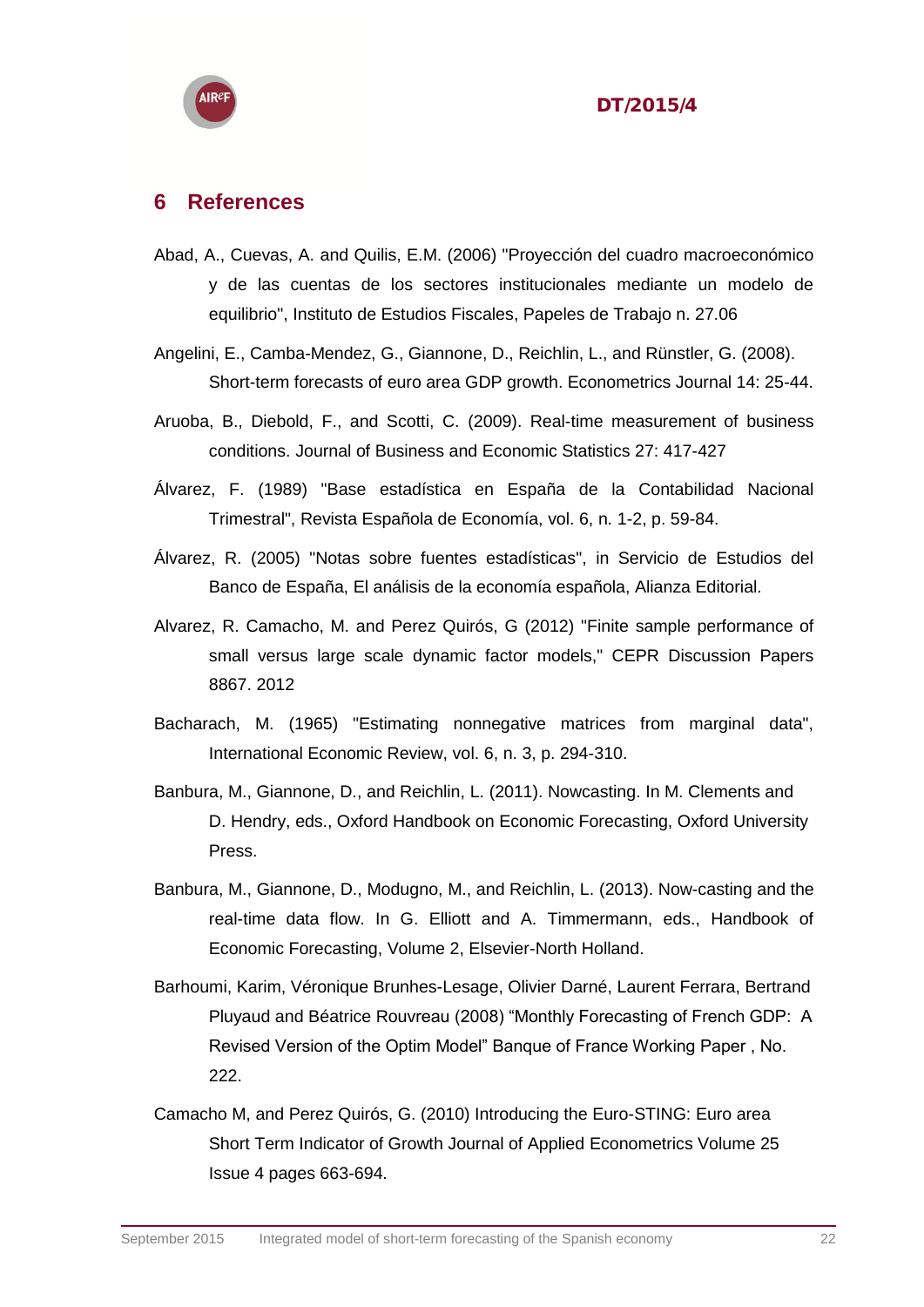

#### <span id="page-21-0"></span>**6 References**

- Abad, A., Cuevas, A. and Quilis, E.M. (2006) "Proyección del cuadro macroeconómico y de las cuentas de los sectores institucionales mediante un modelo de equilibrio", Instituto de Estudios Fiscales, Papeles de Trabajo n. 27.06
- Angelini, E., Camba-Mendez, G., Giannone, D., Reichlin, L., and Rünstler, G. (2008). Short-term forecasts of euro area GDP growth. Econometrics Journal 14: 25-44.
- Aruoba, B., Diebold, F., and Scotti, C. (2009). Real-time measurement of business conditions. Journal of Business and Economic Statistics 27: 417-427
- Álvarez, F. (1989) "Base estadística en España de la Contabilidad Nacional Trimestral", Revista Española de Economía, vol. 6, n. 1-2, p. 59-84.
- Álvarez, R. (2005) "Notas sobre fuentes estadísticas", in Servicio de Estudios del Banco de España, El análisis de la economía española, Alianza Editorial.
- Alvarez, R. Camacho, M. and Perez Quirós, G (2012) "Finite sample performance of small versus large scale dynamic factor models," CEPR Discussion Papers 8867. 2012
- Bacharach, M. (1965) "Estimating nonnegative matrices from marginal data", International Economic Review, vol. 6, n. 3, p. 294-310.
- Banbura, M., Giannone, D., and Reichlin, L. (2011). Nowcasting. In M. Clements and D. Hendry, eds., Oxford Handbook on Economic Forecasting, Oxford University Press.
- Banbura, M., Giannone, D., Modugno, M., and Reichlin, L. (2013). Now-casting and the real-time data flow. In G. Elliott and A. Timmermann, eds., Handbook of Economic Forecasting, Volume 2, Elsevier-North Holland.
- Barhoumi, Karim, Véronique Brunhes-Lesage, Olivier Darné, Laurent Ferrara, Bertrand Pluyaud and Béatrice Rouvreau (2008) "Monthly Forecasting of French GDP: A Revised Version of the Optim Model" Banque of France Working Paper , No. 222.
- Camacho M, and Perez Quirós, G. (2010) Introducing the Euro-STING: Euro area Short Term Indicator of Growth Journal of Applied Econometrics Volume 25 Issue 4 pages 663-694.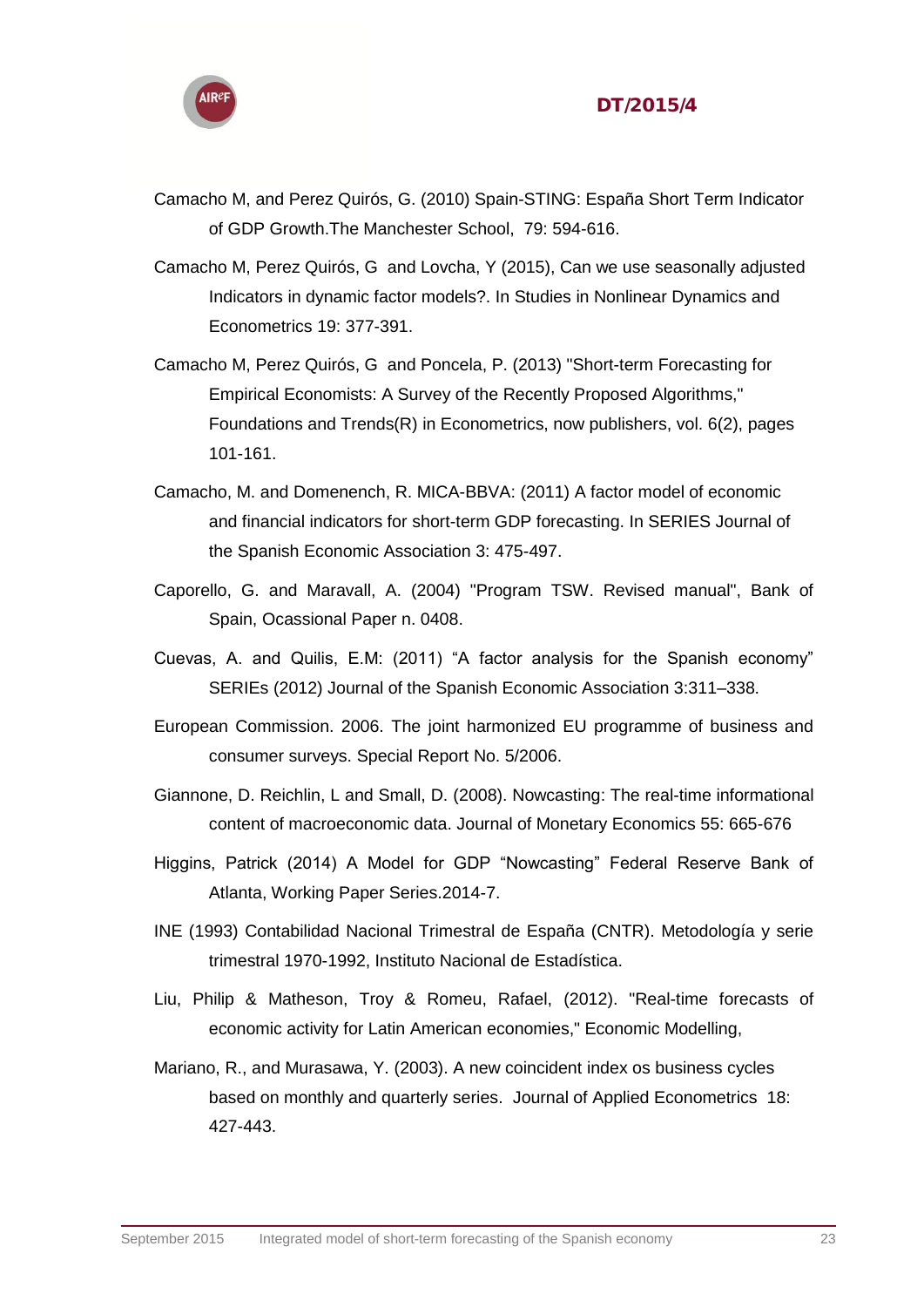

- Camacho M, and Perez Quirós, G. (2010) Spain-STING: España Short Term Indicator of GDP Growth.The Manchester School, 79: 594-616.
- Camacho M, Perez Quirós, G and Lovcha, Y (2015), Can we use seasonally adjusted Indicators in dynamic factor models?. In Studies in Nonlinear Dynamics and Econometrics 19: 377-391.
- Camacho M, Perez Quirós, G and Poncela, P. (2013) "Short-term Forecasting for Empirical Economists: A Survey of the Recently Proposed Algorithms," Foundations and Trends(R) in Econometrics, now publishers, vol. 6(2), pages 101-161.
- Camacho, M. and Domenench, R. MICA-BBVA: (2011) A factor model of economic and financial indicators for short-term GDP forecasting. In SERIES Journal of the Spanish Economic Association 3: 475-497.
- Caporello, G. and Maravall, A. (2004) "Program TSW. Revised manual", Bank of Spain, Ocassional Paper n. 0408.
- Cuevas, A. and Quilis, E.M: (2011) "A factor analysis for the Spanish economy" SERIEs (2012) Journal of the Spanish Economic Association 3:311–338.
- European Commission. 2006. The joint harmonized EU programme of business and consumer surveys. Special Report No. 5/2006.
- Giannone, D. Reichlin, L and Small, D. (2008). Nowcasting: The real-time informational content of macroeconomic data. Journal of Monetary Economics 55: 665-676
- Higgins, Patrick (2014) A Model for GDP "Nowcasting" Federal Reserve Bank of Atlanta, Working Paper Series.2014-7.
- INE (1993) Contabilidad Nacional Trimestral de España (CNTR). Metodología y serie trimestral 1970-1992, Instituto Nacional de Estadística.
- Liu, Philip & Matheson, Troy & Romeu, Rafael, (2012). "Real-time forecasts of economic activity for Latin American economies," Economic Modelling,
- Mariano, R., and Murasawa, Y. (2003). A new coincident index os business cycles based on monthly and quarterly series. Journal of Applied Econometrics 18: 427-443.